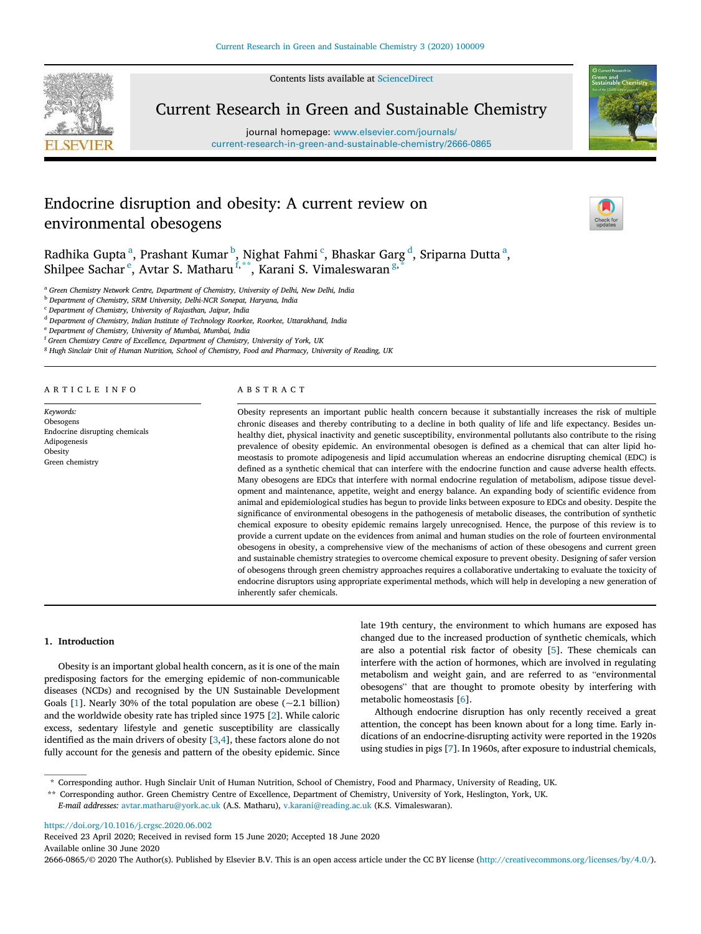Contents lists available at ScienceDirect



Current Research in Green and Sustainable Chemistry

journal homepage: www.elsevier.com/journals/ current-research-in-green-and-sustainable-chemistry/2666-0865



# Endocrine disruption and obesity: A current review on environmental obesogens



Radhika Gupta $^{\rm a}$ , Prashant Kumar $^{\rm b}$ , Nighat Fahmi $^{\rm c}$ , Bhaskar Garg $^{\rm d}$ , Sriparna Dutta $^{\rm a}$ , Shilpee Sachar<sup>e</sup>, Avtar S. Matharu<sup>f,\*\*</sup>, Karani S. Vimaleswaran<sup>g,\*</sup>

<sup>a</sup> *Green Chemistry Network Centre, Department of Chemistry, University of Delhi, New Delhi, India*

<sup>b</sup> *Department of Chemistry, SRM University, Delhi-NCR Sonepat, Haryana, India*

<sup>c</sup> *Department of Chemistry, University of Rajasthan, Jaipur, India*

<sup>d</sup> *Department of Chemistry, Indian Institute of Technology Roorkee, Roorkee, Uttarakhand, India*

<sup>e</sup> *Department of Chemistry, University of Mumbai, Mumbai, India* <sup>f</sup> *Green Chemistry Centre of Excellence, Department of Chemistry, University of York, UK*

<sup>g</sup> *Hugh Sinclair Unit of Human Nutrition, School of Chemistry, Food and Pharmacy, University of Reading, UK*

ARTICLE INFO

*Keywords:* Obesogens Endocrine disrupting chemicals Adipogenesis Obesity Green chemistry

# ABSTRACT

Obesity represents an important public health concern because it substantially increases the risk of multiple chronic diseases and thereby contributing to a decline in both quality of life and life expectancy. Besides unhealthy diet, physical inactivity and genetic susceptibility, environmental pollutants also contribute to the rising prevalence of obesity epidemic. An environmental obesogen is defined as a chemical that can alter lipid homeostasis to promote adipogenesis and lipid accumulation whereas an endocrine disrupting chemical (EDC) is defined as a synthetic chemical that can interfere with the endocrine function and cause adverse health effects. Many obesogens are EDCs that interfere with normal endocrine regulation of metabolism, adipose tissue development and maintenance, appetite, weight and energy balance. An expanding body of scientific evidence from animal and epidemiological studies has begun to provide links between exposure to EDCs and obesity. Despite the significance of environmental obesogens in the pathogenesis of metabolic diseases, the contribution of synthetic chemical exposure to obesity epidemic remains largely unrecognised. Hence, the purpose of this review is to provide a current update on the evidences from animal and human studies on the role of fourteen environmental obesogens in obesity, a comprehensive view of the mechanisms of action of these obesogens and current green and sustainable chemistry strategies to overcome chemical exposure to prevent obesity. Designing of safer version of obesogens through green chemistry approaches requires a collaborative undertaking to evaluate the toxicity of endocrine disruptors using appropriate experimental methods, which will help in developing a new generation of inherently safer chemicals.

#### 1. Introduction

Obesity is an important global health concern, as it is one of the main predisposing factors for the emerging epidemic of non-communicable diseases (NCDs) and recognised by the UN Sustainable Development Goals [1]. Nearly 30% of the total population are obese  $(-2.1 \text{ billion})$ and the worldwide obesity rate has tripled since 1975 [2]. While caloric excess, sedentary lifestyle and genetic susceptibility are classically identified as the main drivers of obesity [3,4], these factors alone do not fully account for the genesis and pattern of the obesity epidemic. Since late 19th century, the environment to which humans are exposed has changed due to the increased production of synthetic chemicals, which are also a potential risk factor of obesity [5]. These chemicals can interfere with the action of hormones, which are involved in regulating metabolism and weight gain, and are referred to as "environmental obesogens" that are thought to promote obesity by interfering with metabolic homeostasis [6].

Although endocrine disruption has only recently received a great attention, the concept has been known about for a long time. Early indications of an endocrine-disrupting activity were reported in the 1920s using studies in pigs [7]. In 1960s, after exposure to industrial chemicals,

https://doi.org/10.1016/j.crgsc.2020.06.002

Received 23 April 2020; Received in revised form 15 June 2020; Accepted 18 June 2020 Available online 30 June 2020

2666-0865/© 2020 The Author(s). Published by Elsevier B.V. This is an open access article under the CC BY license (http://creativecommons.org/licenses/by/4.0/).

<sup>\*</sup> Corresponding author. Hugh Sinclair Unit of Human Nutrition, School of Chemistry, Food and Pharmacy, University of Reading, UK.

<sup>\*\*</sup> Corresponding author. Green Chemistry Centre of Excellence, Department of Chemistry, University of York, Heslington, York, UK.

*E-mail addresses:* avtar.matharu@york.ac.uk (A.S. Matharu), v.karani@reading.ac.uk (K.S. Vimaleswaran).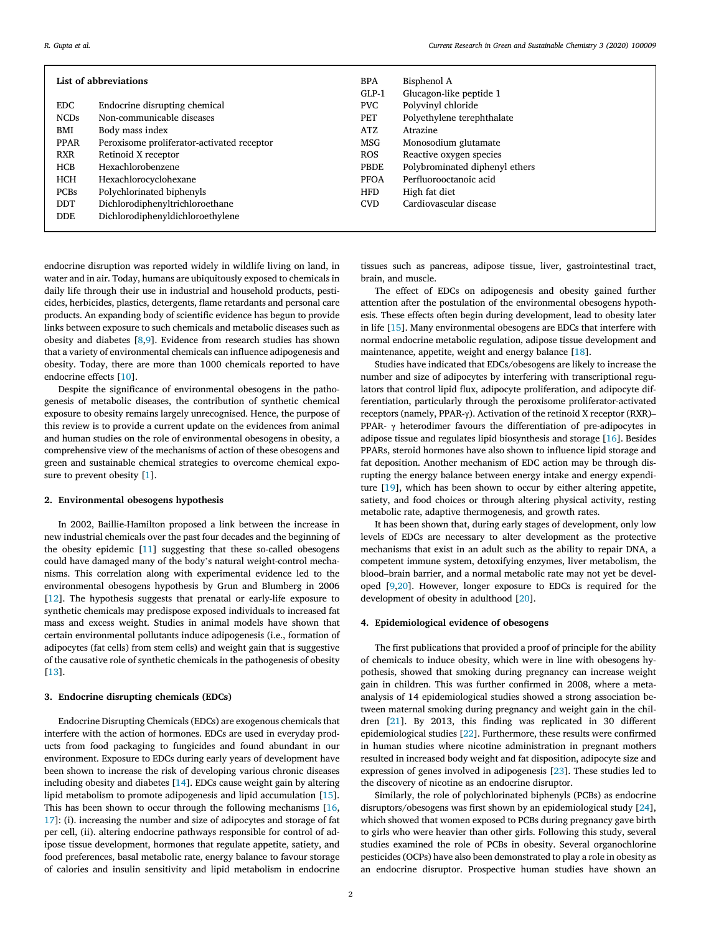| List of abbreviations |                                            |             | Bisphenol A                    |
|-----------------------|--------------------------------------------|-------------|--------------------------------|
|                       |                                            | $GLP-1$     | Glucagon-like peptide 1        |
| EDC.                  | Endocrine disrupting chemical              | PVC         | Polyvinyl chloride             |
| <b>NCDs</b>           | Non-communicable diseases                  | PET         | Polyethylene terephthalate     |
| BMI                   | Body mass index                            | <b>ATZ</b>  | Atrazine                       |
| <b>PPAR</b>           | Peroxisome proliferator-activated receptor | <b>MSG</b>  | Monosodium glutamate           |
| <b>RXR</b>            | Retinoid X receptor                        | <b>ROS</b>  | Reactive oxygen species        |
| HCB                   | Hexachlorobenzene                          | PBDE        | Polybrominated diphenyl ethers |
| <b>HCH</b>            | Hexachlorocyclohexane                      | <b>PFOA</b> | Perfluorooctanoic acid         |
| <b>PCBs</b>           | Polychlorinated biphenyls                  | <b>HFD</b>  | High fat diet                  |
| <b>DDT</b>            | Dichlorodiphenyltrichloroethane            | <b>CVD</b>  | Cardiovascular disease         |
| DDE.                  | Dichlorodiphenyldichloroethylene           |             |                                |
|                       |                                            |             |                                |

endocrine disruption was reported widely in wildlife living on land, in water and in air. Today, humans are ubiquitously exposed to chemicals in daily life through their use in industrial and household products, pesticides, herbicides, plastics, detergents, flame retardants and personal care products. An expanding body of scientific evidence has begun to provide links between exposure to such chemicals and metabolic diseases such as obesity and diabetes [8,9]. Evidence from research studies has shown that a variety of environmental chemicals can influence adipogenesis and obesity. Today, there are more than 1000 chemicals reported to have endocrine effects [10].

Despite the significance of environmental obesogens in the pathogenesis of metabolic diseases, the contribution of synthetic chemical exposure to obesity remains largely unrecognised. Hence, the purpose of this review is to provide a current update on the evidences from animal and human studies on the role of environmental obesogens in obesity, a comprehensive view of the mechanisms of action of these obesogens and green and sustainable chemical strategies to overcome chemical exposure to prevent obesity [1].

#### 2. Environmental obesogens hypothesis

In 2002, Baillie-Hamilton proposed a link between the increase in new industrial chemicals over the past four decades and the beginning of the obesity epidemic [11] suggesting that these so-called obesogens could have damaged many of the body's natural weight-control mechanisms. This correlation along with experimental evidence led to the environmental obesogens hypothesis by Grun and Blumberg in 2006 [12]. The hypothesis suggests that prenatal or early-life exposure to synthetic chemicals may predispose exposed individuals to increased fat mass and excess weight. Studies in animal models have shown that certain environmental pollutants induce adipogenesis (i.e., formation of adipocytes (fat cells) from stem cells) and weight gain that is suggestive of the causative role of synthetic chemicals in the pathogenesis of obesity [13].

#### 3. Endocrine disrupting chemicals (EDCs)

Endocrine Disrupting Chemicals (EDCs) are exogenous chemicals that interfere with the action of hormones. EDCs are used in everyday products from food packaging to fungicides and found abundant in our environment. Exposure to EDCs during early years of development have been shown to increase the risk of developing various chronic diseases including obesity and diabetes [14]. EDCs cause weight gain by altering lipid metabolism to promote adipogenesis and lipid accumulation [15]. This has been shown to occur through the following mechanisms [16, 17]: (i). increasing the number and size of adipocytes and storage of fat per cell, (ii). altering endocrine pathways responsible for control of adipose tissue development, hormones that regulate appetite, satiety, and food preferences, basal metabolic rate, energy balance to favour storage of calories and insulin sensitivity and lipid metabolism in endocrine

tissues such as pancreas, adipose tissue, liver, gastrointestinal tract, brain, and muscle.

The effect of EDCs on adipogenesis and obesity gained further attention after the postulation of the environmental obesogens hypothesis. These effects often begin during development, lead to obesity later in life [15]. Many environmental obesogens are EDCs that interfere with normal endocrine metabolic regulation, adipose tissue development and maintenance, appetite, weight and energy balance [18].

Studies have indicated that EDCs/obesogens are likely to increase the number and size of adipocytes by interfering with transcriptional regulators that control lipid flux, adipocyte proliferation, and adipocyte differentiation, particularly through the peroxisome proliferator-activated receptors (namely, PPAR-γ). Activation of the retinoid X receptor (RXR)– PPAR-  $\gamma$  heterodimer favours the differentiation of pre-adipocytes in adipose tissue and regulates lipid biosynthesis and storage [16]. Besides PPARs, steroid hormones have also shown to influence lipid storage and fat deposition. Another mechanism of EDC action may be through disrupting the energy balance between energy intake and energy expenditure [19], which has been shown to occur by either altering appetite, satiety, and food choices or through altering physical activity, resting metabolic rate, adaptive thermogenesis, and growth rates.

It has been shown that, during early stages of development, only low levels of EDCs are necessary to alter development as the protective mechanisms that exist in an adult such as the ability to repair DNA, a competent immune system, detoxifying enzymes, liver metabolism, the blood–brain barrier, and a normal metabolic rate may not yet be developed [9,20]. However, longer exposure to EDCs is required for the development of obesity in adulthood [20].

#### 4. Epidemiological evidence of obesogens

The first publications that provided a proof of principle for the ability of chemicals to induce obesity, which were in line with obesogens hypothesis, showed that smoking during pregnancy can increase weight gain in children. This was further confirmed in 2008, where a metaanalysis of 14 epidemiological studies showed a strong association between maternal smoking during pregnancy and weight gain in the children [21]. By 2013, this finding was replicated in 30 different epidemiological studies [22]. Furthermore, these results were confirmed in human studies where nicotine administration in pregnant mothers resulted in increased body weight and fat disposition, adipocyte size and expression of genes involved in adipogenesis [23]. These studies led to the discovery of nicotine as an endocrine disruptor.

Similarly, the role of polychlorinated biphenyls (PCBs) as endocrine disruptors/obesogens was first shown by an epidemiological study [24], which showed that women exposed to PCBs during pregnancy gave birth to girls who were heavier than other girls. Following this study, several studies examined the role of PCBs in obesity. Several organochlorine pesticides (OCPs) have also been demonstrated to play a role in obesity as an endocrine disruptor. Prospective human studies have shown an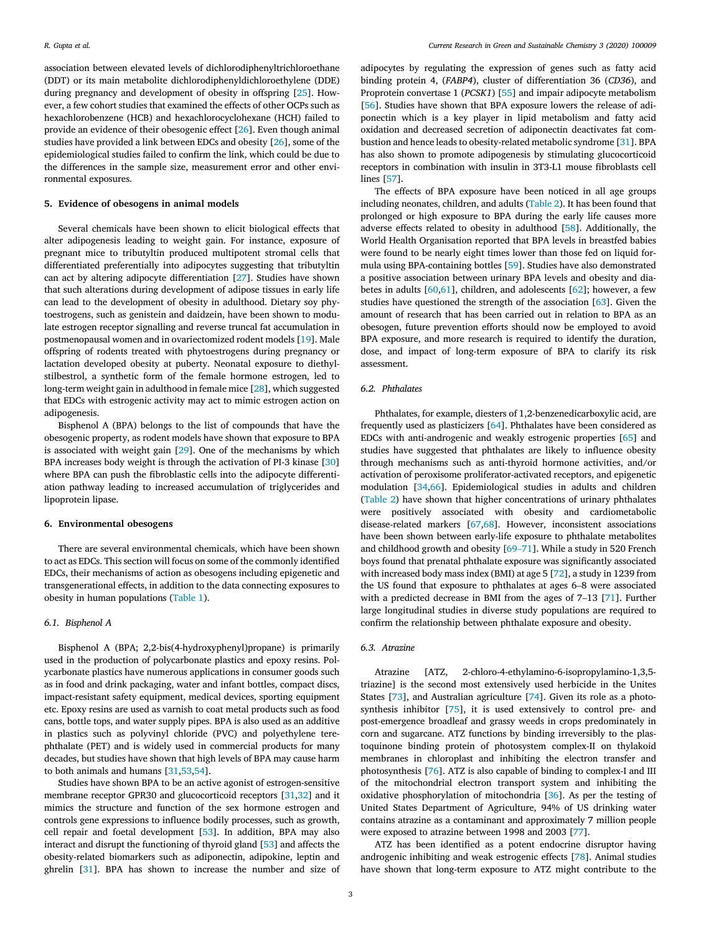association between elevated levels of dichlorodiphenyltrichloroethane (DDT) or its main metabolite dichlorodiphenyldichloroethylene (DDE) during pregnancy and development of obesity in offspring [25]. However, a few cohort studies that examined the effects of other OCPs such as hexachlorobenzene (HCB) and hexachlorocyclohexane (HCH) failed to provide an evidence of their obesogenic effect [26]. Even though animal studies have provided a link between EDCs and obesity [26], some of the epidemiological studies failed to confirm the link, which could be due to the differences in the sample size, measurement error and other environmental exposures.

#### 5. Evidence of obesogens in animal models

Several chemicals have been shown to elicit biological effects that alter adipogenesis leading to weight gain. For instance, exposure of pregnant mice to tributyltin produced multipotent stromal cells that differentiated preferentially into adipocytes suggesting that tributyltin can act by altering adipocyte differentiation [27]. Studies have shown that such alterations during development of adipose tissues in early life can lead to the development of obesity in adulthood. Dietary soy phytoestrogens, such as genistein and daidzein, have been shown to modulate estrogen receptor signalling and reverse truncal fat accumulation in postmenopausal women and in ovariectomized rodent models [19]. Male offspring of rodents treated with phytoestrogens during pregnancy or lactation developed obesity at puberty. Neonatal exposure to diethylstilbestrol, a synthetic form of the female hormone estrogen, led to long-term weight gain in adulthood in female mice [28], which suggested that EDCs with estrogenic activity may act to mimic estrogen action on adipogenesis.

Bisphenol A (BPA) belongs to the list of compounds that have the obesogenic property, as rodent models have shown that exposure to BPA is associated with weight gain [29]. One of the mechanisms by which BPA increases body weight is through the activation of PI-3 kinase [30] where BPA can push the fibroblastic cells into the adipocyte differentiation pathway leading to increased accumulation of triglycerides and lipoprotein lipase.

#### 6. Environmental obesogens

There are several environmental chemicals, which have been shown to act as EDCs. This section will focus on some of the commonly identified EDCs, their mechanisms of action as obesogens including epigenetic and transgenerational effects, in addition to the data connecting exposures to obesity in human populations (Table 1).

# *6.1. Bisphenol A*

Bisphenol A (BPA; 2,2-bis(4-hydroxyphenyl)propane) is primarily used in the production of polycarbonate plastics and epoxy resins. Polycarbonate plastics have numerous applications in consumer goods such as in food and drink packaging, water and infant bottles, compact discs, impact-resistant safety equipment, medical devices, sporting equipment etc. Epoxy resins are used as varnish to coat metal products such as food cans, bottle tops, and water supply pipes. BPA is also used as an additive in plastics such as polyvinyl chloride (PVC) and polyethylene terephthalate (PET) and is widely used in commercial products for many decades, but studies have shown that high levels of BPA may cause harm to both animals and humans [31,53,54].

Studies have shown BPA to be an active agonist of estrogen-sensitive membrane receptor GPR30 and glucocorticoid receptors [31,32] and it mimics the structure and function of the sex hormone estrogen and controls gene expressions to influence bodily processes, such as growth, cell repair and foetal development [53]. In addition, BPA may also interact and disrupt the functioning of thyroid gland [53] and affects the obesity-related biomarkers such as adiponectin, adipokine, leptin and ghrelin [31]. BPA has shown to increase the number and size of

adipocytes by regulating the expression of genes such as fatty acid binding protein 4, (*FABP4*), cluster of differentiation 36 (*CD36*), and Proprotein convertase 1 (*PCSK1*) [55] and impair adipocyte metabolism [56]. Studies have shown that BPA exposure lowers the release of adiponectin which is a key player in lipid metabolism and fatty acid oxidation and decreased secretion of adiponectin deactivates fat combustion and hence leads to obesity-related metabolic syndrome [31]. BPA has also shown to promote adipogenesis by stimulating glucocorticoid receptors in combination with insulin in 3T3-L1 mouse fibroblasts cell lines [57].

The effects of BPA exposure have been noticed in all age groups including neonates, children, and adults (Table 2). It has been found that prolonged or high exposure to BPA during the early life causes more adverse effects related to obesity in adulthood [58]. Additionally, the World Health Organisation reported that BPA levels in breastfed babies were found to be nearly eight times lower than those fed on liquid formula using BPA-containing bottles [59]. Studies have also demonstrated a positive association between urinary BPA levels and obesity and diabetes in adults [60,61], children, and adolescents [62]; however, a few studies have questioned the strength of the association [63]. Given the amount of research that has been carried out in relation to BPA as an obesogen, future prevention efforts should now be employed to avoid BPA exposure, and more research is required to identify the duration, dose, and impact of long-term exposure of BPA to clarify its risk assessment.

#### *6.2. Phthalates*

Phthalates, for example, diesters of 1,2-benzenedicarboxylic acid, are frequently used as plasticizers [64]. Phthalates have been considered as EDCs with anti-androgenic and weakly estrogenic properties [65] and studies have suggested that phthalates are likely to influence obesity through mechanisms such as anti-thyroid hormone activities, and/or activation of peroxisome proliferator-activated receptors, and epigenetic modulation [34,66]. Epidemiological studies in adults and children (Table 2) have shown that higher concentrations of urinary phthalates were positively associated with obesity and cardiometabolic disease-related markers [67,68]. However, inconsistent associations have been shown between early-life exposure to phthalate metabolites and childhood growth and obesity [69–71]. While a study in 520 French boys found that prenatal phthalate exposure was significantly associated with increased body mass index (BMI) at age 5 [72], a study in 1239 from the US found that exposure to phthalates at ages 6–8 were associated with a predicted decrease in BMI from the ages of 7–13 [71]. Further large longitudinal studies in diverse study populations are required to confirm the relationship between phthalate exposure and obesity.

#### *6.3. Atrazine*

Atrazine [ATZ, 2-chloro-4-ethylamino-6-isopropylamino-1,3,5 triazine] is the second most extensively used herbicide in the Unites States [73], and Australian agriculture [74]. Given its role as a photosynthesis inhibitor [75], it is used extensively to control pre- and post-emergence broadleaf and grassy weeds in crops predominately in corn and sugarcane. ATZ functions by binding irreversibly to the plastoquinone binding protein of photosystem complex-II on thylakoid membranes in chloroplast and inhibiting the electron transfer and photosynthesis [76]. ATZ is also capable of binding to complex-I and III of the mitochondrial electron transport system and inhibiting the oxidative phosphorylation of mitochondria [36]. As per the testing of United States Department of Agriculture, 94% of US drinking water contains atrazine as a contaminant and approximately 7 million people were exposed to atrazine between 1998 and 2003 [77].

ATZ has been identified as a potent endocrine disruptor having androgenic inhibiting and weak estrogenic effects [78]. Animal studies have shown that long-term exposure to ATZ might contribute to the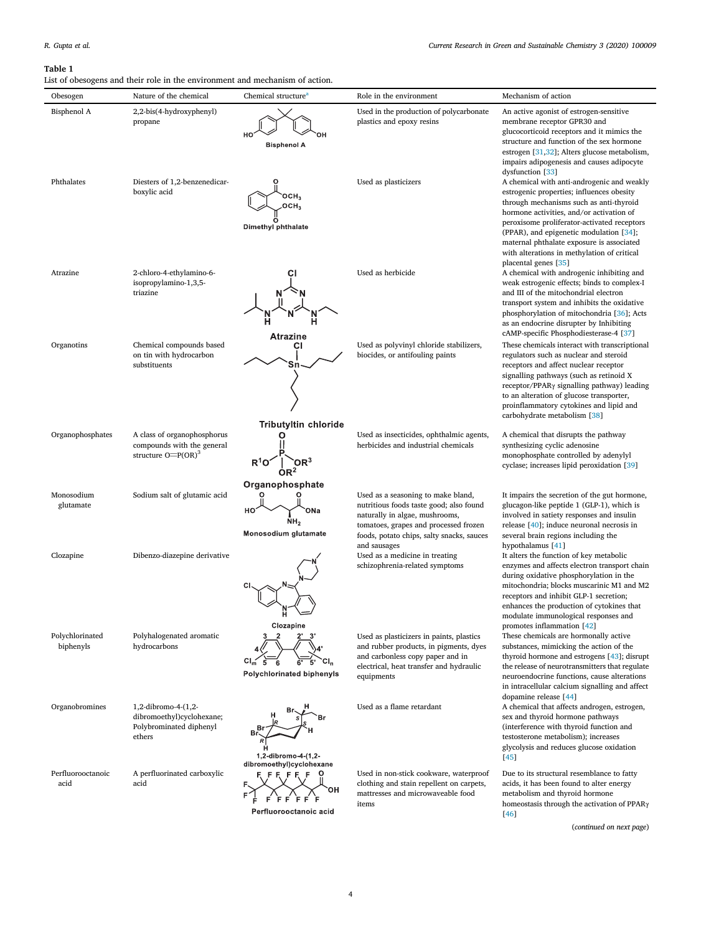# Table 1

List of obesogens and their role in the environment and mechanism of action.

| Obesogen                     | Nature of the chemical                                                                | Chemical structure <sup>a</sup>                                          | Role in the environment                                                                                                                                                                                               | Mechanism of action                                                                                                                                                                                                                                                                                                                                                  |
|------------------------------|---------------------------------------------------------------------------------------|--------------------------------------------------------------------------|-----------------------------------------------------------------------------------------------------------------------------------------------------------------------------------------------------------------------|----------------------------------------------------------------------------------------------------------------------------------------------------------------------------------------------------------------------------------------------------------------------------------------------------------------------------------------------------------------------|
| Bisphenol A                  | 2,2-bis(4-hydroxyphenyl)<br>propane                                                   | HO<br><b>Bisphenol A</b>                                                 | Used in the production of polycarbonate<br>plastics and epoxy resins                                                                                                                                                  | An active agonist of estrogen-sensitive<br>membrane receptor GPR30 and<br>glucocorticoid receptors and it mimics the<br>structure and function of the sex hormone<br>estrogen [31,32]; Alters glucose metabolism,<br>impairs adipogenesis and causes adipocyte<br>dysfunction [33]                                                                                   |
| Phthalates                   | Diesters of 1,2-benzenedicar-<br>boxylic acid                                         | OCH <sub>3</sub><br>OCH <sub>3</sub><br>Dimethyl phthalate               | Used as plasticizers                                                                                                                                                                                                  | A chemical with anti-androgenic and weakly<br>estrogenic properties; influences obesity<br>through mechanisms such as anti-thyroid<br>hormone activities, and/or activation of<br>peroxisome proliferator-activated receptors<br>(PPAR), and epigenetic modulation [34];<br>maternal phthalate exposure is associated<br>with alterations in methylation of critical |
| Atrazine                     | 2-chloro-4-ethylamino-6-<br>isopropylamino-1,3,5-<br>triazine                         | <b>Atrazine</b>                                                          | Used as herbicide                                                                                                                                                                                                     | placental genes [35]<br>A chemical with androgenic inhibiting and<br>weak estrogenic effects; binds to complex-I<br>and III of the mitochondrial electron<br>transport system and inhibits the oxidative<br>phosphorylation of mitochondria [36]; Acts<br>as an endocrine disrupter by Inhibiting<br>cAMP-specific Phosphodiesterase-4 [37]                          |
| Organotins                   | Chemical compounds based<br>on tin with hydrocarbon<br>substituents                   | СI<br>Sn<br><b>Tributyltin chloride</b>                                  | Used as polyvinyl chloride stabilizers,<br>biocides, or antifouling paints                                                                                                                                            | These chemicals interact with transcriptional<br>regulators such as nuclear and steroid<br>receptors and affect nuclear receptor<br>signalling pathways (such as retinoid X<br>receptor/PPAR <sub>Y</sub> signalling pathway) leading<br>to an alteration of glucose transporter,<br>proinflammatory cytokines and lipid and<br>carbohydrate metabolism [38]         |
| Organophosphates             | A class of organophosphorus<br>compounds with the general<br>structure $O= P(OR)^3$   | $R^1O$<br>OR <sup>2</sup>                                                | Used as insecticides, ophthalmic agents,<br>herbicides and industrial chemicals                                                                                                                                       | A chemical that disrupts the pathway<br>synthesizing cyclic adenosine<br>monophosphate controlled by adenylyl<br>cyclase; increases lipid peroxidation [39]                                                                                                                                                                                                          |
| Monosodium<br>glutamate      | Sodium salt of glutamic acid                                                          | Organophosphate<br>HO.<br>ONa<br>NH <sub>2</sub><br>Monosodium glutamate | Used as a seasoning to make bland,<br>nutritious foods taste good; also found<br>naturally in algae, mushrooms,<br>tomatoes, grapes and processed frozen<br>foods, potato chips, salty snacks, sauces<br>and sausages | It impairs the secretion of the gut hormone,<br>glucagon-like peptide 1 (GLP-1), which is<br>involved in satiety responses and insulin<br>release $[40]$ ; induce neuronal necrosis in<br>several brain regions including the<br>hypothalamus [41]                                                                                                                   |
| Clozapine                    | Dibenzo-diazepine derivative                                                          | Ħ.<br>一<br>Clozapine                                                     | Used as a medicine in treating<br>schizophrenia-related symptoms                                                                                                                                                      | It alters the function of key metabolic<br>enzymes and affects electron transport chain<br>during oxidative phosphorylation in the<br>mitochondria; blocks muscarinic M1 and M2<br>receptors and inhibit GLP-1 secretion;<br>enhances the production of cytokines that<br>modulate immunological responses and<br>promotes inflammation [42]                         |
| Polychlorinated<br>biphenyls | Polyhalogenated aromatic<br>hydrocarbons                                              | 5<br>6<br>Polychlorinated biphenyls                                      | Used as plasticizers in paints, plastics<br>and rubber products, in pigments, dyes<br>and carbonless copy paper and in<br>electrical, heat transfer and hydraulic<br>equipments                                       | These chemicals are hormonally active<br>substances, mimicking the action of the<br>thyroid hormone and estrogens [43]; disrupt<br>the release of neurotransmitters that regulate<br>neuroendocrine functions, cause alterations<br>in intracellular calcium signalling and affect                                                                                   |
| Organobromines               | 1,2-dibromo-4-(1,2-<br>dibromoethyl)cyclohexane;<br>Polybrominated diphenyl<br>ethers | 1,2-dibromo-4-(1,2-                                                      | Used as a flame retardant                                                                                                                                                                                             | dopamine release [44]<br>A chemical that affects androgen, estrogen,<br>sex and thyroid hormone pathways<br>(interference with thyroid function and<br>testosterone metabolism); increases<br>glycolysis and reduces glucose oxidation<br>[45]                                                                                                                       |
| Perfluorooctanoic<br>acid    | A perfluorinated carboxylic<br>acid                                                   | dibromoethyl)cyclohexane                                                 | Used in non-stick cookware, waterproof<br>clothing and stain repellent on carpets,<br>mattresses and microwaveable food<br>items                                                                                      | Due to its structural resemblance to fatty<br>acids, it has been found to alter energy<br>metabolism and thyroid hormone<br>homeostasis through the activation of PPAR <sub>Y</sub>                                                                                                                                                                                  |

Perfluorooctanoic acid

(*continued on next page*)

[46]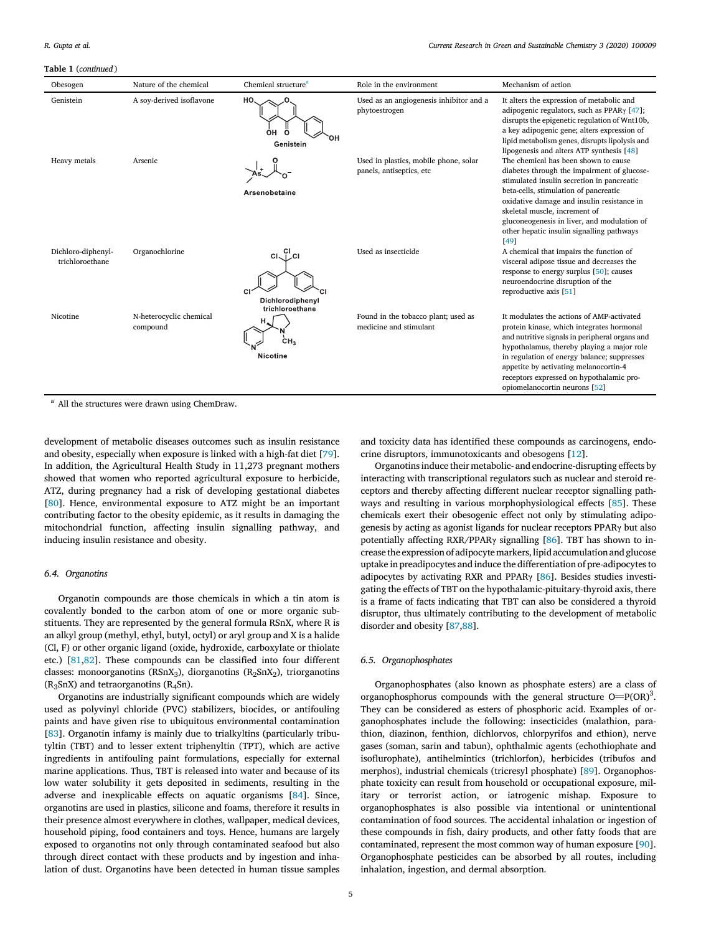#### Table 1 (*continued* )

| Obesogen                              | Nature of the chemical              | Chemical structure <sup>a</sup>                          | Role in the environment                                           | Mechanism of action                                                                                                                                                                                                                                                                                                                                           |
|---------------------------------------|-------------------------------------|----------------------------------------------------------|-------------------------------------------------------------------|---------------------------------------------------------------------------------------------------------------------------------------------------------------------------------------------------------------------------------------------------------------------------------------------------------------------------------------------------------------|
| Genistein                             | A soy-derived isoflavone            | HO.<br>ÒН<br>റ<br>Genistein                              | Used as an angiogenesis inhibitor and a<br>phytoestrogen          | It alters the expression of metabolic and<br>adipogenic regulators, such as PPAR $\gamma$ [47];<br>disrupts the epigenetic regulation of Wnt10b,<br>a key adipogenic gene; alters expression of<br>lipid metabolism genes, disrupts lipolysis and<br>lipogenesis and alters ATP synthesis [48]                                                                |
| Heavy metals                          | Arsenic                             | Arsenobetaine                                            | Used in plastics, mobile phone, solar<br>panels, antiseptics, etc | The chemical has been shown to cause<br>diabetes through the impairment of glucose-<br>stimulated insulin secretion in pancreatic<br>beta-cells, stimulation of pancreatic<br>oxidative damage and insulin resistance in<br>skeletal muscle, increment of<br>gluconeogenesis in liver, and modulation of<br>other hepatic insulin signalling pathways<br>[49] |
| Dichloro-diphenyl-<br>trichloroethane | Organochlorine                      | $CI1$ $Cl2$<br>C.<br>Dichlorodiphenyl<br>trichloroethane | Used as insecticide                                               | A chemical that impairs the function of<br>visceral adipose tissue and decreases the<br>response to energy surplus [50]; causes<br>neuroendocrine disruption of the<br>reproductive axis [51]                                                                                                                                                                 |
| Nicotine                              | N-heterocyclic chemical<br>compound | ċн,<br>Nicotine                                          | Found in the tobacco plant; used as<br>medicine and stimulant     | It modulates the actions of AMP-activated<br>protein kinase, which integrates hormonal<br>and nutritive signals in peripheral organs and<br>hypothalamus, thereby playing a major role<br>in regulation of energy balance; suppresses<br>appetite by activating melanocortin-4<br>receptors expressed on hypothalamic pro-<br>opiomelanocortin neurons [52]   |

<sup>a</sup> All the structures were drawn using ChemDraw.

development of metabolic diseases outcomes such as insulin resistance and obesity, especially when exposure is linked with a high-fat diet [79]. In addition, the Agricultural Health Study in 11,273 pregnant mothers showed that women who reported agricultural exposure to herbicide, ATZ, during pregnancy had a risk of developing gestational diabetes [80]. Hence, environmental exposure to ATZ might be an important contributing factor to the obesity epidemic, as it results in damaging the mitochondrial function, affecting insulin signalling pathway, and inducing insulin resistance and obesity.

### *6.4. Organotins*

Organotin compounds are those chemicals in which a tin atom is covalently bonded to the carbon atom of one or more organic substituents. They are represented by the general formula RSnX, where R is an alkyl group (methyl, ethyl, butyl, octyl) or aryl group and X is a halide (Cl, F) or other organic ligand (oxide, hydroxide, carboxylate or thiolate etc.) [81,82]. These compounds can be classified into four different classes: monoorganotins ( $RSnX<sub>3</sub>$ ), diorganotins ( $R<sub>2</sub>SnX<sub>2</sub>$ ), triorganotins  $(R_3SnX)$  and tetraorganotins  $(R_4Sn)$ .

Organotins are industrially significant compounds which are widely used as polyvinyl chloride (PVC) stabilizers, biocides, or antifouling paints and have given rise to ubiquitous environmental contamination [83]. Organotin infamy is mainly due to trialkyltins (particularly tributyltin (TBT) and to lesser extent triphenyltin (TPT), which are active ingredients in antifouling paint formulations, especially for external marine applications. Thus, TBT is released into water and because of its low water solubility it gets deposited in sediments, resulting in the adverse and inexplicable effects on aquatic organisms [84]. Since, organotins are used in plastics, silicone and foams, therefore it results in their presence almost everywhere in clothes, wallpaper, medical devices, household piping, food containers and toys. Hence, humans are largely exposed to organotins not only through contaminated seafood but also through direct contact with these products and by ingestion and inhalation of dust. Organotins have been detected in human tissue samples

and toxicity data has identified these compounds as carcinogens, endocrine disruptors, immunotoxicants and obesogens [12].

Organotins induce their metabolic- and endocrine-disrupting effects by interacting with transcriptional regulators such as nuclear and steroid receptors and thereby affecting different nuclear receptor signalling pathways and resulting in various morphophysiological effects [85]. These chemicals exert their obesogenic effect not only by stimulating adipogenesis by acting as agonist ligands for nuclear receptors PPARγ but also potentially affecting RXR/PPARγ signalling [86]. TBT has shown to increase the expression of adipocyte markers, lipid accumulation and glucose uptake in preadipocytes and induce the differentiation of pre-adipocytes to adipocytes by activating RXR and PPAR $\gamma$  [86]. Besides studies investigating the effects of TBT on the hypothalamic-pituitary-thyroid axis, there is a frame of facts indicating that TBT can also be considered a thyroid disruptor, thus ultimately contributing to the development of metabolic disorder and obesity [87,88].

#### *6.5. Organophosphates*

Organophosphates (also known as phosphate esters) are a class of Organophosphorus compounds with the general structure  $O= P(OR)^3$ . They can be considered as esters of phosphoric acid. Examples of organophosphates include the following: insecticides (malathion, parathion, diazinon, fenthion, dichlorvos, chlorpyrifos and ethion), nerve gases (soman, sarin and tabun), ophthalmic agents (echothiophate and isoflurophate), antihelmintics (trichlorfon), herbicides (tribufos and merphos), industrial chemicals (tricresyl phosphate) [89]. Organophosphate toxicity can result from household or occupational exposure, military or terrorist action, or iatrogenic mishap. Exposure to organophosphates is also possible via intentional or unintentional contamination of food sources. The accidental inhalation or ingestion of these compounds in fish, dairy products, and other fatty foods that are contaminated, represent the most common way of human exposure [90]. Organophosphate pesticides can be absorbed by all routes, including inhalation, ingestion, and dermal absorption.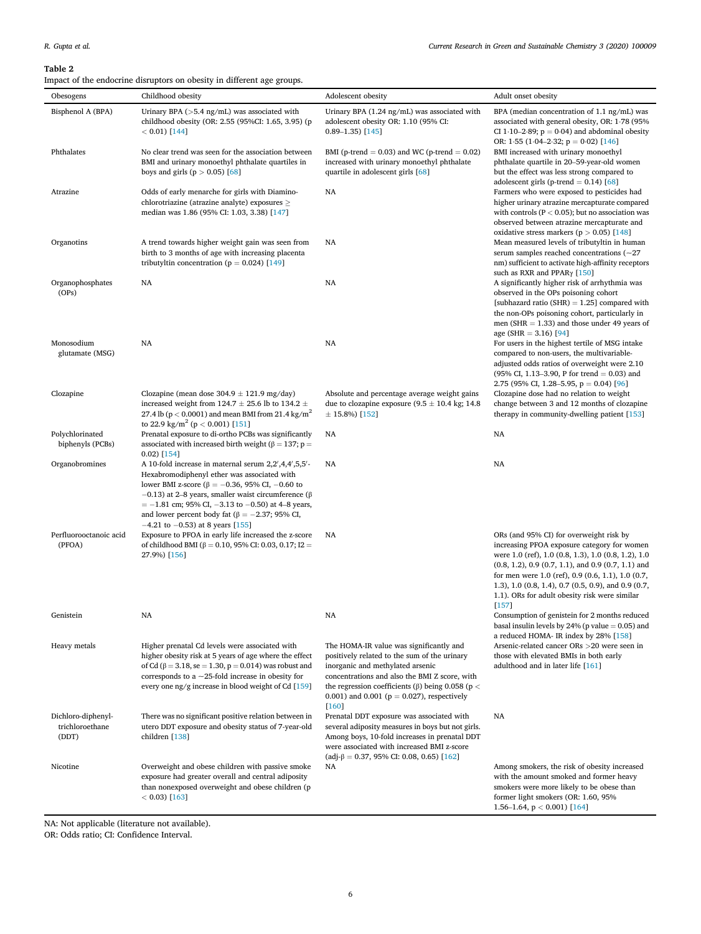# Table 2

| Obesogens                                      | Childhood obesity                                                                                                                                                                                                                                                                                                                                                                     | Adolescent obesity                                                                                                                                                                                                                                                                               | Adult onset obesity                                                                                                                                                                                                                                                                                                                                                               |
|------------------------------------------------|---------------------------------------------------------------------------------------------------------------------------------------------------------------------------------------------------------------------------------------------------------------------------------------------------------------------------------------------------------------------------------------|--------------------------------------------------------------------------------------------------------------------------------------------------------------------------------------------------------------------------------------------------------------------------------------------------|-----------------------------------------------------------------------------------------------------------------------------------------------------------------------------------------------------------------------------------------------------------------------------------------------------------------------------------------------------------------------------------|
| Bisphenol A (BPA)                              | Urinary BPA $($ >5.4 ng/mL $)$ was associated with<br>childhood obesity (OR: 2.55 (95%CI: 1.65, 3.95) (p<br>$< 0.01$ ) [144]                                                                                                                                                                                                                                                          | Urinary BPA (1.24 ng/mL) was associated with<br>adolescent obesity OR: 1.10 (95% CI:<br>$0.89 - 1.35$ [145]                                                                                                                                                                                      | BPA (median concentration of 1.1 ng/mL) was<br>associated with general obesity, OR: 1.78 (95%)<br>CI 1.10–2.89; $p = 0.04$ ) and abdominal obesity<br>OR: 1.55 $(1.04-2.32; p = 0.02)$ [146]                                                                                                                                                                                      |
| Phthalates                                     | No clear trend was seen for the association between<br>BMI and urinary monoethyl phthalate quartiles in<br>boys and girls ( $p > 0.05$ ) [68]                                                                                                                                                                                                                                         | BMI (p-trend $= 0.03$ ) and WC (p-trend $= 0.02$ )<br>increased with urinary monoethyl phthalate<br>quartile in adolescent girls [68]                                                                                                                                                            | BMI increased with urinary monoethyl<br>phthalate quartile in 20-59-year-old women<br>but the effect was less strong compared to<br>adolescent girls (p-trend $= 0.14$ ) [68]                                                                                                                                                                                                     |
| Atrazine                                       | Odds of early menarche for girls with Diamino-<br>chlorotriazine (atrazine analyte) exposures $\geq$<br>median was 1.86 (95% CI: 1.03, 3.38) [147]                                                                                                                                                                                                                                    | NA                                                                                                                                                                                                                                                                                               | Farmers who were exposed to pesticides had<br>higher urinary atrazine mercapturate compared<br>with controls ( $P < 0.05$ ); but no association was<br>observed between atrazine mercapturate and<br>oxidative stress markers ( $p > 0.05$ ) [148]                                                                                                                                |
| Organotins                                     | A trend towards higher weight gain was seen from<br>birth to 3 months of age with increasing placenta<br>tributyltin concentration ( $p = 0.024$ ) [149]                                                                                                                                                                                                                              | NA                                                                                                                                                                                                                                                                                               | Mean measured levels of tributyltin in human<br>serum samples reached concentrations $(-27)$<br>nm) sufficient to activate high-affinity receptors<br>such as RXR and PPAR $\gamma$ [150]                                                                                                                                                                                         |
| Organophosphates<br>(OPs)                      | NA                                                                                                                                                                                                                                                                                                                                                                                    | NA                                                                                                                                                                                                                                                                                               | A significantly higher risk of arrhythmia was<br>observed in the OPs poisoning cohort<br>[subhazard ratio (SHR) $= 1.25$ ] compared with<br>the non-OPs poisoning cohort, particularly in<br>men (SHR $=$ 1.33) and those under 49 years of<br>age (SHR = 3.16) [94]                                                                                                              |
| Monosodium<br>glutamate (MSG)                  | NA                                                                                                                                                                                                                                                                                                                                                                                    | NA                                                                                                                                                                                                                                                                                               | For users in the highest tertile of MSG intake<br>compared to non-users, the multivariable-<br>adjusted odds ratios of overweight were 2.10<br>(95% CI, 1.13–3.90, P for trend = 0.03) and<br>2.75 (95% CI, 1.28–5.95, $p = 0.04$ ) [96]                                                                                                                                          |
| Clozapine                                      | Clozapine (mean dose $304.9 \pm 121.9$ mg/day)<br>increased weight from 124.7 $\pm$ 25.6 lb to 134.2 $\pm$<br>27.4 lb ( $p < 0.0001$ ) and mean BMI from 21.4 kg/m <sup>2</sup><br>to 22.9 kg/m <sup>2</sup> (p < 0.001) [151]                                                                                                                                                        | Absolute and percentage average weight gains<br>due to clozapine exposure $(9.5 \pm 10.4 \text{ kg}; 14.8)$<br>$\pm$ 15.8%) [152]                                                                                                                                                                | Clozapine dose had no relation to weight<br>change between 3 and 12 months of clozapine<br>therapy in community-dwelling patient [153]                                                                                                                                                                                                                                            |
| Polychlorinated<br>biphenyls (PCBs)            | Prenatal exposure to di-ortho PCBs was significantly<br>associated with increased birth weight ( $\beta$ = 137; p =<br>$0.02$ ) [154]                                                                                                                                                                                                                                                 | NA                                                                                                                                                                                                                                                                                               | NA                                                                                                                                                                                                                                                                                                                                                                                |
| Organobromines                                 | A 10-fold increase in maternal serum 2,2',4,4',5,5'-<br>Hexabromodiphenyl ether was associated with<br>lower BMI z-score (β = -0.36, 95% CI, -0.60 to<br>$-0.13$ ) at 2–8 years, smaller waist circumference ( $\beta$<br>$= -1.81$ cm; 95% CI, $-3.13$ to $-0.50$ ) at 4–8 years,<br>and lower percent body fat ( $\beta = -2.37$ ; 95% CI,<br>$-4.21$ to $-0.53$ ) at 8 years [155] | NA                                                                                                                                                                                                                                                                                               | NA                                                                                                                                                                                                                                                                                                                                                                                |
| Perfluorooctanoic acid<br>(PFOA)               | Exposure to PFOA in early life increased the z-score<br>of childhood BMI ( $\beta = 0.10$ , 95% CI: 0.03, 0.17; I2 =<br>27.9%) [156]                                                                                                                                                                                                                                                  | NA                                                                                                                                                                                                                                                                                               | ORs (and 95% CI) for overweight risk by<br>increasing PFOA exposure category for women<br>were 1.0 (ref), 1.0 (0.8, 1.3), 1.0 (0.8, 1.2), 1.0<br>$(0.8, 1.2), 0.9$ $(0.7, 1.1),$ and $0.9$ $(0.7, 1.1)$ and<br>for men were 1.0 (ref), 0.9 (0.6, 1.1), 1.0 (0.7,<br>1.3), 1.0 (0.8, 1.4), 0.7 (0.5, 0.9), and 0.9 (0.7,<br>1.1). ORs for adult obesity risk were similar<br>[157] |
| Genistein                                      | NA                                                                                                                                                                                                                                                                                                                                                                                    | NA                                                                                                                                                                                                                                                                                               | Consumption of genistein for 2 months reduced<br>basal insulin levels by 24% (p value $= 0.05$ ) and<br>a reduced HOMA- IR index by 28% [158]                                                                                                                                                                                                                                     |
| Heavy metals                                   | Higher prenatal Cd levels were associated with<br>higher obesity risk at 5 years of age where the effect<br>of Cd ( $\beta$ = 3.18, se = 1.30, p = 0.014) was robust and<br>corresponds to a $\sim$ 25-fold increase in obesity for<br>every one $\frac{ng}{g}$ increase in blood weight of Cd [159]                                                                                  | The HOMA-IR value was significantly and<br>positively related to the sum of the urinary<br>inorganic and methylated arsenic<br>concentrations and also the BMI Z score, with<br>the regression coefficients (β) being 0.058 ( $p <$<br>0.001) and 0.001 ( $p = 0.027$ ), respectively<br>$[160]$ | Arsenic-related cancer ORs >20 were seen in<br>those with elevated BMIs in both early<br>adulthood and in later life [161]                                                                                                                                                                                                                                                        |
| Dichloro-diphenyl-<br>trichloroethane<br>(DDT) | There was no significant positive relation between in<br>utero DDT exposure and obesity status of 7-year-old<br>children [138]                                                                                                                                                                                                                                                        | Prenatal DDT exposure was associated with<br>several adiposity measures in boys but not girls.<br>Among boys, 10-fold increases in prenatal DDT<br>were associated with increased BMI z-score<br>$\left(\text{adj-}\beta = 0.37, 95\% \text{ CI: } 0.08, 0.65\right)$ [162]                      | NA                                                                                                                                                                                                                                                                                                                                                                                |
| Nicotine                                       | Overweight and obese children with passive smoke<br>exposure had greater overall and central adiposity<br>than nonexposed overweight and obese children (p<br>$< 0.03$ ) [163]                                                                                                                                                                                                        | NA                                                                                                                                                                                                                                                                                               | Among smokers, the risk of obesity increased<br>with the amount smoked and former heavy<br>smokers were more likely to be obese than<br>former light smokers (OR: 1.60, 95%<br>1.56–1.64, $p < 0.001$ [164]                                                                                                                                                                       |

NA: Not applicable (literature not available).

OR: Odds ratio; CI: Confidence Interval.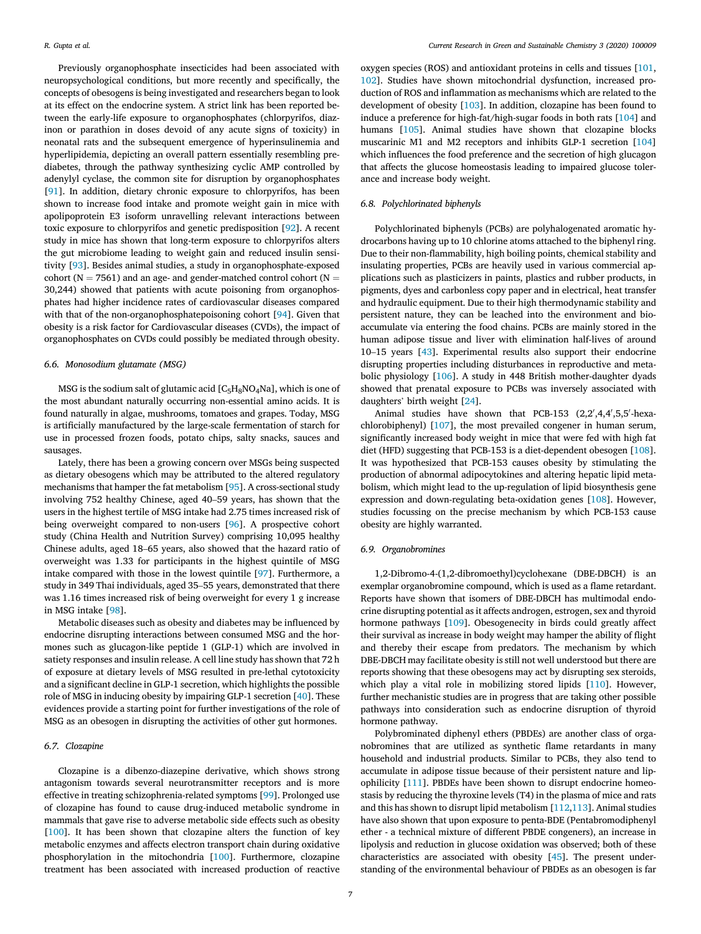Previously organophosphate insecticides had been associated with neuropsychological conditions, but more recently and specifically, the concepts of obesogens is being investigated and researchers began to look at its effect on the endocrine system. A strict link has been reported between the early-life exposure to organophosphates (chlorpyrifos, diazinon or parathion in doses devoid of any acute signs of toxicity) in neonatal rats and the subsequent emergence of hyperinsulinemia and hyperlipidemia, depicting an overall pattern essentially resembling prediabetes, through the pathway synthesizing cyclic AMP controlled by adenylyl cyclase, the common site for disruption by organophosphates [91]. In addition, dietary chronic exposure to chlorpyrifos, has been shown to increase food intake and promote weight gain in mice with apolipoprotein E3 isoform unravelling relevant interactions between toxic exposure to chlorpyrifos and genetic predisposition [92]. A recent study in mice has shown that long-term exposure to chlorpyrifos alters the gut microbiome leading to weight gain and reduced insulin sensitivity [93]. Besides animal studies, a study in organophosphate-exposed cohort ( $N = 7561$ ) and an age- and gender-matched control cohort ( $N =$ 30,244) showed that patients with acute poisoning from organophosphates had higher incidence rates of cardiovascular diseases compared with that of the non-organophosphatepoisoning cohort [94]. Given that obesity is a risk factor for Cardiovascular diseases (CVDs), the impact of organophosphates on CVDs could possibly be mediated through obesity.

#### *6.6. Monosodium glutamate (MSG)*

MSG is the sodium salt of glutamic acid  $[C_5H_8NO_4Na]$ , which is one of the most abundant naturally occurring non-essential amino acids. It is found naturally in algae, mushrooms, tomatoes and grapes. Today, MSG is artificially manufactured by the large-scale fermentation of starch for use in processed frozen foods, potato chips, salty snacks, sauces and sausages.

Lately, there has been a growing concern over MSGs being suspected as dietary obesogens which may be attributed to the altered regulatory mechanisms that hamper the fat metabolism [95]. A cross-sectional study involving 752 healthy Chinese, aged 40–59 years, has shown that the users in the highest tertile of MSG intake had 2.75 times increased risk of being overweight compared to non-users [96]. A prospective cohort study (China Health and Nutrition Survey) comprising 10,095 healthy Chinese adults, aged 18–65 years, also showed that the hazard ratio of overweight was 1.33 for participants in the highest quintile of MSG intake compared with those in the lowest quintile [97]. Furthermore, a study in 349 Thai individuals, aged 35–55 years, demonstrated that there was 1.16 times increased risk of being overweight for every 1 g increase in MSG intake [98].

Metabolic diseases such as obesity and diabetes may be influenced by endocrine disrupting interactions between consumed MSG and the hormones such as glucagon-like peptide 1 (GLP-1) which are involved in satiety responses and insulin release. A cell line study has shown that 72 h of exposure at dietary levels of MSG resulted in pre-lethal cytotoxicity and a significant decline in GLP-1 secretion, which highlights the possible role of MSG in inducing obesity by impairing GLP-1 secretion [40]. These evidences provide a starting point for further investigations of the role of MSG as an obesogen in disrupting the activities of other gut hormones.

### *6.7. Clozapine*

Clozapine is a dibenzo-diazepine derivative, which shows strong antagonism towards several neurotransmitter receptors and is more effective in treating schizophrenia-related symptoms [99]. Prolonged use of clozapine has found to cause drug-induced metabolic syndrome in mammals that gave rise to adverse metabolic side effects such as obesity [100]. It has been shown that clozapine alters the function of key metabolic enzymes and affects electron transport chain during oxidative phosphorylation in the mitochondria [100]. Furthermore, clozapine treatment has been associated with increased production of reactive

oxygen species (ROS) and antioxidant proteins in cells and tissues [101, 102]. Studies have shown mitochondrial dysfunction, increased production of ROS and inflammation as mechanisms which are related to the development of obesity [103]. In addition, clozapine has been found to induce a preference for high-fat/high-sugar foods in both rats [104] and humans [105]. Animal studies have shown that clozapine blocks muscarinic M1 and M2 receptors and inhibits GLP-1 secretion [104] which influences the food preference and the secretion of high glucagon that affects the glucose homeostasis leading to impaired glucose tolerance and increase body weight.

### *6.8. Polychlorinated biphenyls*

Polychlorinated biphenyls (PCBs) are polyhalogenated aromatic hydrocarbons having up to 10 chlorine atoms attached to the biphenyl ring. Due to their non-flammability, high boiling points, chemical stability and insulating properties, PCBs are heavily used in various commercial applications such as plasticizers in paints, plastics and rubber products, in pigments, dyes and carbonless copy paper and in electrical, heat transfer and hydraulic equipment. Due to their high thermodynamic stability and persistent nature, they can be leached into the environment and bioaccumulate via entering the food chains. PCBs are mainly stored in the human adipose tissue and liver with elimination half-lives of around 10–15 years [43]. Experimental results also support their endocrine disrupting properties including disturbances in reproductive and metabolic physiology [106]. A study in 448 British mother-daughter dyads showed that prenatal exposure to PCBs was inversely associated with daughters' birth weight [24].

Animal studies have shown that PCB-153 (2,2',4,4',5,5'-hexachlorobiphenyl) [107], the most prevailed congener in human serum, significantly increased body weight in mice that were fed with high fat diet (HFD) suggesting that PCB-153 is a diet-dependent obesogen [108]. It was hypothesized that PCB-153 causes obesity by stimulating the production of abnormal adipocytokines and altering hepatic lipid metabolism, which might lead to the up-regulation of lipid biosynthesis gene expression and down-regulating beta-oxidation genes [108]. However, studies focussing on the precise mechanism by which PCB-153 cause obesity are highly warranted.

#### *6.9. Organobromines*

1,2-Dibromo-4-(1,2-dibromoethyl)cyclohexane (DBE-DBCH) is an exemplar organobromine compound, which is used as a flame retardant. Reports have shown that isomers of DBE-DBCH has multimodal endocrine disrupting potential as it affects androgen, estrogen, sex and thyroid hormone pathways [109]. Obesogenecity in birds could greatly affect their survival as increase in body weight may hamper the ability of flight and thereby their escape from predators. The mechanism by which DBE-DBCH may facilitate obesity is still not well understood but there are reports showing that these obesogens may act by disrupting sex steroids, which play a vital role in mobilizing stored lipids [110]. However, further mechanistic studies are in progress that are taking other possible pathways into consideration such as endocrine disruption of thyroid hormone pathway.

Polybrominated diphenyl ethers (PBDEs) are another class of organobromines that are utilized as synthetic flame retardants in many household and industrial products. Similar to PCBs, they also tend to accumulate in adipose tissue because of their persistent nature and lipophilicity [111]. PBDEs have been shown to disrupt endocrine homeostasis by reducing the thyroxine levels (T4) in the plasma of mice and rats and this has shown to disrupt lipid metabolism [112,113]. Animal studies have also shown that upon exposure to penta-BDE (Pentabromodiphenyl ether - a technical mixture of different PBDE congeners), an increase in lipolysis and reduction in glucose oxidation was observed; both of these characteristics are associated with obesity [45]. The present understanding of the environmental behaviour of PBDEs as an obesogen is far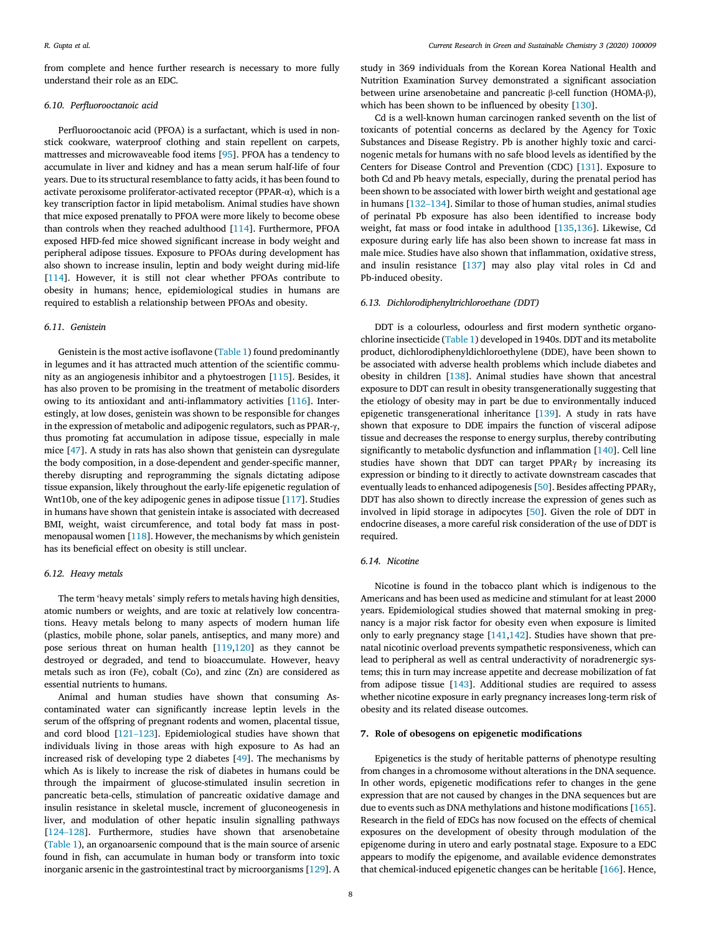from complete and hence further research is necessary to more fully understand their role as an EDC.

#### *6.10. Per*fl*uorooctanoic acid*

Perfluorooctanoic acid (PFOA) is a surfactant, which is used in nonstick cookware, waterproof clothing and stain repellent on carpets, mattresses and microwaveable food items [95]. PFOA has a tendency to accumulate in liver and kidney and has a mean serum half-life of four years. Due to its structural resemblance to fatty acids, it has been found to activate peroxisome proliferator-activated receptor (PPAR-α), which is a key transcription factor in lipid metabolism. Animal studies have shown that mice exposed prenatally to PFOA were more likely to become obese than controls when they reached adulthood [114]. Furthermore, PFOA exposed HFD-fed mice showed significant increase in body weight and peripheral adipose tissues. Exposure to PFOAs during development has also shown to increase insulin, leptin and body weight during mid-life [114]. However, it is still not clear whether PFOAs contribute to obesity in humans; hence, epidemiological studies in humans are required to establish a relationship between PFOAs and obesity.

#### *6.11. Genistein*

Genistein is the most active isoflavone (Table 1) found predominantly in legumes and it has attracted much attention of the scientific community as an angiogenesis inhibitor and a phytoestrogen [115]. Besides, it has also proven to be promising in the treatment of metabolic disorders owing to its antioxidant and anti-inflammatory activities [116]. Interestingly, at low doses, genistein was shown to be responsible for changes in the expression of metabolic and adipogenic regulators, such as PPAR-γ, thus promoting fat accumulation in adipose tissue, especially in male mice [47]. A study in rats has also shown that genistein can dysregulate the body composition, in a dose-dependent and gender-specific manner, thereby disrupting and reprogramming the signals dictating adipose tissue expansion, likely throughout the early-life epigenetic regulation of Wnt10b, one of the key adipogenic genes in adipose tissue [117]. Studies in humans have shown that genistein intake is associated with decreased BMI, weight, waist circumference, and total body fat mass in postmenopausal women [118]. However, the mechanisms by which genistein has its beneficial effect on obesity is still unclear.

### *6.12. Heavy metals*

The term 'heavy metals' simply refers to metals having high densities, atomic numbers or weights, and are toxic at relatively low concentrations. Heavy metals belong to many aspects of modern human life (plastics, mobile phone, solar panels, antiseptics, and many more) and pose serious threat on human health [119,120] as they cannot be destroyed or degraded, and tend to bioaccumulate. However, heavy metals such as iron (Fe), cobalt (Co), and zinc (Zn) are considered as essential nutrients to humans.

Animal and human studies have shown that consuming Ascontaminated water can significantly increase leptin levels in the serum of the offspring of pregnant rodents and women, placental tissue, and cord blood [121–123]. Epidemiological studies have shown that individuals living in those areas with high exposure to As had an increased risk of developing type 2 diabetes [49]. The mechanisms by which As is likely to increase the risk of diabetes in humans could be through the impairment of glucose-stimulated insulin secretion in pancreatic beta-cells, stimulation of pancreatic oxidative damage and insulin resistance in skeletal muscle, increment of gluconeogenesis in liver, and modulation of other hepatic insulin signalling pathways [124–128]. Furthermore, studies have shown that arsenobetaine (Table 1), an organoarsenic compound that is the main source of arsenic found in fish, can accumulate in human body or transform into toxic inorganic arsenic in the gastrointestinal tract by microorganisms [129]. A

study in 369 individuals from the Korean Korea National Health and Nutrition Examination Survey demonstrated a significant association between urine arsenobetaine and pancreatic β-cell function (HOMA-β), which has been shown to be influenced by obesity [130].

Cd is a well-known human carcinogen ranked seventh on the list of toxicants of potential concerns as declared by the Agency for Toxic Substances and Disease Registry. Pb is another highly toxic and carcinogenic metals for humans with no safe blood levels as identified by the Centers for Disease Control and Prevention (CDC) [131]. Exposure to both Cd and Pb heavy metals, especially, during the prenatal period has been shown to be associated with lower birth weight and gestational age in humans [132–134]. Similar to those of human studies, animal studies of perinatal Pb exposure has also been identified to increase body weight, fat mass or food intake in adulthood [135,136]. Likewise, Cd exposure during early life has also been shown to increase fat mass in male mice. Studies have also shown that inflammation, oxidative stress, and insulin resistance [137] may also play vital roles in Cd and Pb-induced obesity.

#### *6.13. Dichlorodiphenyltrichloroethane (DDT)*

DDT is a colourless, odourless and first modern synthetic organochlorine insecticide (Table 1) developed in 1940s. DDT and its metabolite product, dichlorodiphenyldichloroethylene (DDE), have been shown to be associated with adverse health problems which include diabetes and obesity in children [138]. Animal studies have shown that ancestral exposure to DDT can result in obesity transgenerationally suggesting that the etiology of obesity may in part be due to environmentally induced epigenetic transgenerational inheritance [139]. A study in rats have shown that exposure to DDE impairs the function of visceral adipose tissue and decreases the response to energy surplus, thereby contributing significantly to metabolic dysfunction and inflammation [140]. Cell line studies have shown that DDT can target PPARγ by increasing its expression or binding to it directly to activate downstream cascades that eventually leads to enhanced adipogenesis [50]. Besides affecting PPARγ, DDT has also shown to directly increase the expression of genes such as involved in lipid storage in adipocytes [50]. Given the role of DDT in endocrine diseases, a more careful risk consideration of the use of DDT is required.

### *6.14. Nicotine*

Nicotine is found in the tobacco plant which is indigenous to the Americans and has been used as medicine and stimulant for at least 2000 years. Epidemiological studies showed that maternal smoking in pregnancy is a major risk factor for obesity even when exposure is limited only to early pregnancy stage [141,142]. Studies have shown that prenatal nicotinic overload prevents sympathetic responsiveness, which can lead to peripheral as well as central underactivity of noradrenergic systems; this in turn may increase appetite and decrease mobilization of fat from adipose tissue [143]. Additional studies are required to assess whether nicotine exposure in early pregnancy increases long-term risk of obesity and its related disease outcomes.

#### 7. Role of obesogens on epigenetic modifications

Epigenetics is the study of heritable patterns of phenotype resulting from changes in a chromosome without alterations in the DNA sequence. In other words, epigenetic modifications refer to changes in the gene expression that are not caused by changes in the DNA sequences but are due to events such as DNA methylations and histone modifications [165]. Research in the field of EDCs has now focused on the effects of chemical exposures on the development of obesity through modulation of the epigenome during in utero and early postnatal stage. Exposure to a EDC appears to modify the epigenome, and available evidence demonstrates that chemical-induced epigenetic changes can be heritable [166]. Hence,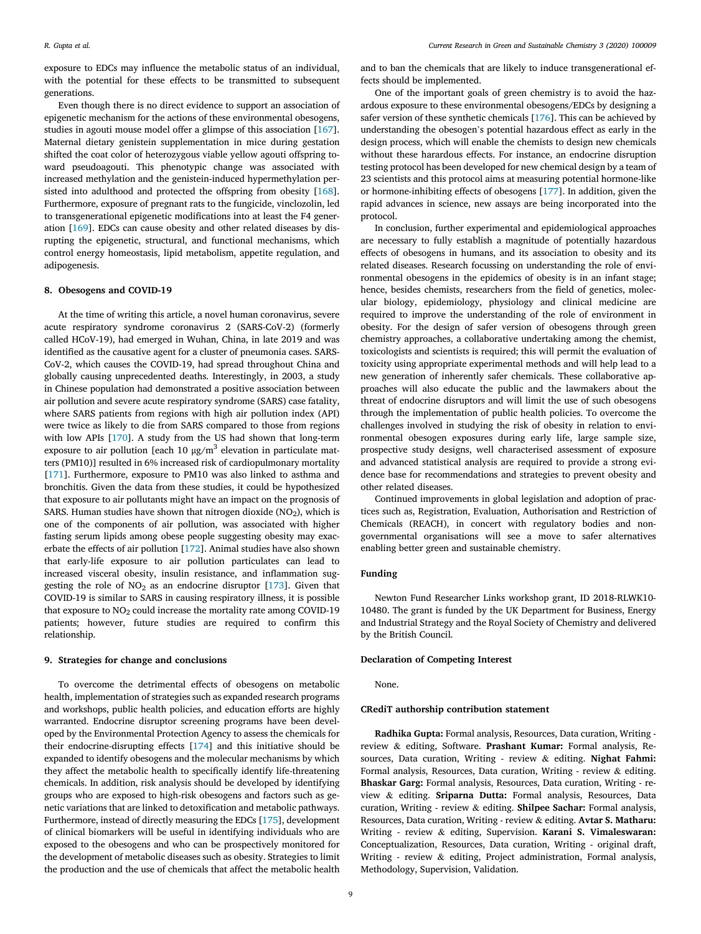*R. Gupta et al. Current Research in Green and Sustainable Chemistry 3 (2020) 100009*

exposure to EDCs may influence the metabolic status of an individual, with the potential for these effects to be transmitted to subsequent generations.

Even though there is no direct evidence to support an association of epigenetic mechanism for the actions of these environmental obesogens, studies in agouti mouse model offer a glimpse of this association [167]. Maternal dietary genistein supplementation in mice during gestation shifted the coat color of heterozygous viable yellow agouti offspring toward pseudoagouti. This phenotypic change was associated with increased methylation and the genistein-induced hypermethylation persisted into adulthood and protected the offspring from obesity [168]. Furthermore, exposure of pregnant rats to the fungicide, vinclozolin, led to transgenerational epigenetic modifications into at least the F4 generation [169]. EDCs can cause obesity and other related diseases by disrupting the epigenetic, structural, and functional mechanisms, which control energy homeostasis, lipid metabolism, appetite regulation, and adipogenesis.

#### 8. Obesogens and COVID-19

At the time of writing this article, a novel human coronavirus, severe acute respiratory syndrome coronavirus 2 (SARS-CoV-2) (formerly called HCoV-19), had emerged in Wuhan, China, in late 2019 and was identified as the causative agent for a cluster of pneumonia cases. SARS-CoV-2, which causes the COVID-19, had spread throughout China and globally causing unprecedented deaths. Interestingly, in 2003, a study in Chinese population had demonstrated a positive association between air pollution and severe acute respiratory syndrome (SARS) case fatality, where SARS patients from regions with high air pollution index (API) were twice as likely to die from SARS compared to those from regions with low APIs [170]. A study from the US had shown that long-term exposure to air pollution [each 10  $\mu$ g/m $^3$  elevation in particulate matters (PM10)] resulted in 6% increased risk of cardiopulmonary mortality [171]. Furthermore, exposure to PM10 was also linked to asthma and bronchitis. Given the data from these studies, it could be hypothesized that exposure to air pollutants might have an impact on the prognosis of SARS. Human studies have shown that nitrogen dioxide  $(NO<sub>2</sub>)$ , which is one of the components of air pollution, was associated with higher fasting serum lipids among obese people suggesting obesity may exacerbate the effects of air pollution [172]. Animal studies have also shown that early-life exposure to air pollution particulates can lead to increased visceral obesity, insulin resistance, and inflammation suggesting the role of  $NO<sub>2</sub>$  as an endocrine disruptor [173]. Given that COVID-19 is similar to SARS in causing respiratory illness, it is possible that exposure to NO<sub>2</sub> could increase the mortality rate among COVID-19 patients; however, future studies are required to confirm this relationship.

#### 9. Strategies for change and conclusions

To overcome the detrimental effects of obesogens on metabolic health, implementation of strategies such as expanded research programs and workshops, public health policies, and education efforts are highly warranted. Endocrine disruptor screening programs have been developed by the Environmental Protection Agency to assess the chemicals for their endocrine-disrupting effects [174] and this initiative should be expanded to identify obesogens and the molecular mechanisms by which they affect the metabolic health to specifically identify life-threatening chemicals. In addition, risk analysis should be developed by identifying groups who are exposed to high-risk obesogens and factors such as genetic variations that are linked to detoxification and metabolic pathways. Furthermore, instead of directly measuring the EDCs [175], development of clinical biomarkers will be useful in identifying individuals who are exposed to the obesogens and who can be prospectively monitored for the development of metabolic diseases such as obesity. Strategies to limit the production and the use of chemicals that affect the metabolic health

and to ban the chemicals that are likely to induce transgenerational effects should be implemented.

One of the important goals of green chemistry is to avoid the hazardous exposure to these environmental obesogens/EDCs by designing a safer version of these synthetic chemicals [176]. This can be achieved by understanding the obesogen's potential hazardous effect as early in the design process, which will enable the chemists to design new chemicals without these harardous effects. For instance, an endocrine disruption testing protocol has been developed for new chemical design by a team of 23 scientists and this protocol aims at measuring potential hormone-like or hormone-inhibiting effects of obesogens [177]. In addition, given the rapid advances in science, new assays are being incorporated into the protocol.

In conclusion, further experimental and epidemiological approaches are necessary to fully establish a magnitude of potentially hazardous effects of obesogens in humans, and its association to obesity and its related diseases. Research focussing on understanding the role of environmental obesogens in the epidemics of obesity is in an infant stage; hence, besides chemists, researchers from the field of genetics, molecular biology, epidemiology, physiology and clinical medicine are required to improve the understanding of the role of environment in obesity. For the design of safer version of obesogens through green chemistry approaches, a collaborative undertaking among the chemist, toxicologists and scientists is required; this will permit the evaluation of toxicity using appropriate experimental methods and will help lead to a new generation of inherently safer chemicals. These collaborative approaches will also educate the public and the lawmakers about the threat of endocrine disruptors and will limit the use of such obesogens through the implementation of public health policies. To overcome the challenges involved in studying the risk of obesity in relation to environmental obesogen exposures during early life, large sample size, prospective study designs, well characterised assessment of exposure and advanced statistical analysis are required to provide a strong evidence base for recommendations and strategies to prevent obesity and other related diseases.

Continued improvements in global legislation and adoption of practices such as, Registration, Evaluation, Authorisation and Restriction of Chemicals (REACH), in concert with regulatory bodies and nongovernmental organisations will see a move to safer alternatives enabling better green and sustainable chemistry.

#### Funding

Newton Fund Researcher Links workshop grant, ID 2018-RLWK10- 10480. The grant is funded by the UK Department for Business, Energy and Industrial Strategy and the Royal Society of Chemistry and delivered by the British Council.

#### Declaration of Competing Interest

None.

#### CRediT authorship contribution statement

Radhika Gupta: Formal analysis, Resources, Data curation, Writing review & editing, Software. Prashant Kumar: Formal analysis, Resources, Data curation, Writing - review & editing. Nighat Fahmi: Formal analysis, Resources, Data curation, Writing - review & editing. Bhaskar Garg: Formal analysis, Resources, Data curation, Writing - review & editing. Sriparna Dutta: Formal analysis, Resources, Data curation, Writing - review & editing. Shilpee Sachar: Formal analysis, Resources, Data curation, Writing - review & editing. Avtar S. Matharu: Writing - review & editing, Supervision. Karani S. Vimaleswaran: Conceptualization, Resources, Data curation, Writing - original draft, Writing - review & editing, Project administration, Formal analysis, Methodology, Supervision, Validation.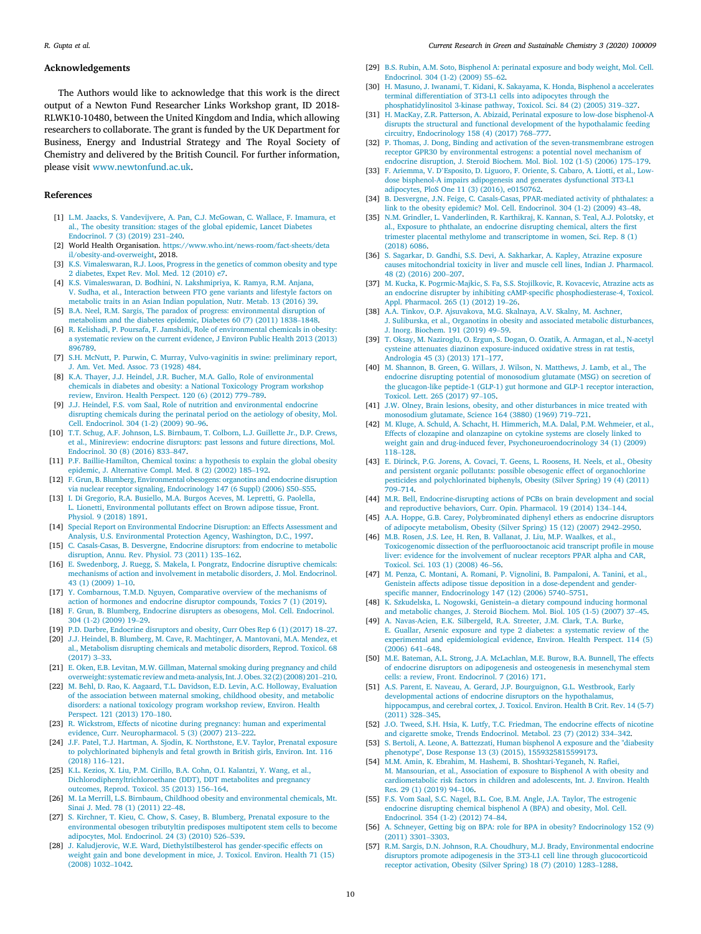#### Acknowledgements

The Authors would like to acknowledge that this work is the direct output of a Newton Fund Researcher Links Workshop grant, ID 2018- RLWK10-10480, between the United Kingdom and India, which allowing researchers to collaborate. The grant is funded by the UK Department for Business, Energy and Industrial Strategy and The Royal Society of Chemistry and delivered by the British Council. For further information, please visit www.newtonfund.ac.uk.

#### References

- [1] L.M. Jaacks, S. Vandevijvere, A. Pan, C.J. McGowan, C. Wallace, F. Imamura, et al., The obesity transition: stages of the global epidemic, Lancet Diabetes Endocrinol. 7 (3) (2019) 231–240.
- [2] World Health Organisation. https://www.who.int/news-room/fact-sheets/deta il/obesity-and-overweight, 2018.
- [3] K.S. Vimaleswaran, R.J. Loos, Progress in the genetics of common obesity and type 2 diabetes, Expet Rev. Mol. Med. 12 (2010) e7.
- [4] K.S. Vimaleswaran, D. Bodhini, N. Lakshmipriya, K. Ramya, R.M. Anjana, V. Sudha, et al., Interaction between FTO gene variants and lifestyle factors on metabolic traits in an Asian Indian population, Nutr. Metab. 13 (2016) 39.
- [5] B.A. Neel, R.M. Sargis, The paradox of progress: environmental disruption of metabolism and the diabetes epidemic, Diabetes 60 (7) (2011) 1838–1848.
- [6] R. Kelishadi, P. Poursafa, F. Jamshidi, Role of environmental chemicals in obesity: a systematic review on the current evidence, J Environ Public Health 2013 (2013) 896789.
- [7] S.H. McNutt, P. Purwin, C. Murray, Vulvo-vaginitis in swine: preliminary report, J. Am. Vet. Med. Assoc. 73 (1928) 484.
- [8] K.A. Thayer, J.J. Heindel, J.R. Bucher, M.A. Gallo, Role of environmental chemicals in diabetes and obesity: a National Toxicology Program workshop review, Environ. Health Perspect. 120 (6) (2012) 779–789.
- [9] J.J. Heindel, F.S. vom Saal, Role of nutrition and environmental endocrine disrupting chemicals during the perinatal period on the aetiology of obesity, Mol. Cell. Endocrinol. 304 (1-2) (2009) 90–96.
- [10] T.T. Schug, A.F. Johnson, L.S. Birnbaum, T. Colborn, L.J. Guillette Jr., D.P. Crews, et al., Minireview: endocrine disruptors: past lessons and future directions, Mol. Endocrinol. 30 (8) (2016) 833–847.
- [11] P.F. Baillie-Hamilton, Chemical toxins: a hypothesis to explain the global obesity epidemic, J. Alternative Compl. Med. 8 (2) (2002) 185–192.
- [12] F. Grun, B. Blumberg, Environmental obesogens: organotins and endocrine disruption via nuclear receptor signaling, Endocrinology 147 (6 Suppl) (2006) S50–S55.
- [13] I. Di Gregorio, R.A. Busiello, M.A. Burgos Aceves, M. Lepretti, G. Paolella, L. Lionetti, Environmental pollutants effect on Brown adipose tissue, Front. Physiol. 9 (2018) 1891.
- [14] Special Report on Environmental Endocrine Disruption: an Effects Assessment and Analysis, U.S. Environmental Protection Agency, Washington, D.C., 1997.
- [15] C. Casals-Casas, B. Desvergne, Endocrine disruptors: from endocrine to metabolic disruption, Annu. Rev. Physiol. 73 (2011) 135–162.
- [16] E. Swedenborg, J. Ruegg, S. Makela, I. Pongratz, Endocrine disruptive chemicals: mechanisms of action and involvement in metabolic disorders, J. Mol. Endocrinol. 43 (1) (2009) 1–10.
- [17] Y. Combarnous, T.M.D. Nguyen, Comparative overview of the mechanisms of action of hormones and endocrine disruptor compounds, Toxics 7 (1) (2019).
- [18] F. Grun, B. Blumberg, Endocrine disrupters as obesogens, Mol. Cell. Endocrinol. 304 (1-2) (2009) 19–29.
- [19] P.D. Darbre, Endocrine disruptors and obesity, Curr Obes Rep 6 (1) (2017) 18–27.
- [20] J.J. Heindel, B. Blumberg, M. Cave, R. Machtinger, A. Mantovani, M.A. Mendez, et al., Metabolism disrupting chemicals and metabolic disorders, Reprod. Toxicol. 68 (2017) 3–33.
- [21] E. Oken, E.B. Levitan, M.W. Gillman, Maternal smoking during pregnancy and child overweight: systematic review andmeta-analysis, Int. J. Obes. 32 (2) (2008) 201–210.
- [22] M. Behl, D. Rao, K. Aagaard, T.L. Davidson, E.D. Levin, A.C. Holloway, Evaluation of the association between maternal smoking, childhood obesity, and metabolic disorders: a national toxicology program workshop review, Environ. Health Perspect. 121 (2013) 170–180.
- [23] R. Wickstrom, Effects of nicotine during pregnancy: human and experimental evidence, Curr. Neuropharmacol. 5 (3) (2007) 213–222.
- [24] J.F. Patel, T.J. Hartman, A. Sjodin, K. Northstone, E.V. Taylor, Prenatal exposure to polychlorinated biphenyls and fetal growth in British girls, Environ. Int. 116 (2018) 116–121.
- [25] K.L. Kezios, X. Liu, P.M. Cirillo, B.A. Cohn, O.I. Kalantzi, Y. Wang, et al., Dichlorodiphenyltrichloroethane (DDT), DDT metabolites and pregnancy outcomes, Reprod. Toxicol. 35 (2013) 156–164.
- [26] M. La Merrill, L.S. Birnbaum, Childhood obesity and environmental chemicals, Mt. Sinai J. Med. 78 (1) (2011) 22–48.
- [27] S. Kirchner, T. Kieu, C. Chow, S. Casey, B. Blumberg, Prenatal exposure to the environmental obesogen tributyltin predisposes multipotent stem cells to become adipocytes, Mol. Endocrinol. 24 (3) (2010) 526–539.
- [28] J. Kaludjerovic, W.E. Ward, Diethylstilbesterol has gender-specific effects on weight gain and bone development in mice, J. Toxicol. Environ. Health 71 (15) (2008) 1032–1042.
- [29] B.S. Rubin, A.M. Soto, Bisphenol A: perinatal exposure and body weight, Mol. Cell. Endocrinol. 304 (1-2) (2009) 55–62.
- [30] H. Masuno, J. Iwanami, T. Kidani, K. Sakayama, K. Honda, Bisphenol a accelerates terminal differentiation of 3T3-L1 cells into adipocytes through the phosphatidylinositol 3-kinase pathway, Toxicol. Sci. 84 (2) (2005) 319–327.
- [31] H. MacKay, Z.R. Patterson, A. Abizaid, Perinatal exposure to low-dose bisphenol-A disrupts the structural and functional development of the hypothalamic feeding circuitry, Endocrinology 158 (4) (2017) 768–777.
- [32] P. Thomas, J. Dong, Binding and activation of the seven-transmembrane estrogen receptor GPR30 by environmental estrogens: a potential novel mechanism of endocrine disruption, J. Steroid Biochem. Mol. Biol. 102 (1-5) (2006) 175–179.
- [33] F. Ariemma, V. D'Esposito, D. Liguoro, F. Oriente, S. Cabaro, A. Liotti, et al., Lowdose bisphenol-A impairs adipogenesis and generates dysfunctional 3T3-L1 adipocytes, PloS One 11 (3) (2016), e0150762.
- [34] B. Desvergne, J.N. Feige, C. Casals-Casas, PPAR-mediated activity of phthalates: a link to the obesity epidemic? Mol. Cell. Endocrinol. 304 (1-2) (2009) 43–48.
- [35] N.M. Grindler, L. Vanderlinden, R. Karthikraj, K. Kannan, S. Teal, A.J. Polotsky, et al., Exposure to phthalate, an endocrine disrupting chemical, alters the first trimester placental methylome and transcriptome in women, Sci. Rep. 8 (1) (2018) 6086.
- [36] S. Sagarkar, D. Gandhi, S.S. Devi, A. Sakharkar, A. Kapley, Atrazine exposure causes mitochondrial toxicity in liver and muscle cell lines, Indian J. Pharmacol. 48 (2) (2016) 200–207.
- [37] M. Kucka, K. Pogrmic-Majkic, S. Fa, S.S. Stojilkovic, R. Kovacevic, Atrazine acts as an endocrine disrupter by inhibiting cAMP-specific phosphodiesterase-4, Toxicol. Appl. Pharmacol. 265 (1) (2012) 19–26.
- [38] A.A. Tinkov, O.P. Ajsuvakova, M.G. Skalnaya, A.V. Skalny, M. Aschner, J. Suliburska, et al., Organotins in obesity and associated metabolic disturbances, J. Inorg. Biochem. 191 (2019) 49–59.
- [39] T. Oksay, M. Naziroglu, O. Ergun, S. Dogan, O. Ozatik, A. Armagan, et al., N-acetyl cysteine attenuates diazinon exposure-induced oxidative stress in rat testis, Andrologia 45 (3) (2013) 171–177.
- [40] M. Shannon, B. Green, G. Willars, J. Wilson, N. Matthews, J. Lamb, et al., The endocrine disrupting potential of monosodium glutamate (MSG) on secretion of the glucagon-like peptide-1 (GLP-1) gut hormone and GLP-1 receptor interaction, Toxicol. Lett. 265 (2017) 97–105.
- [41] J.W. Olney, Brain lesions, obesity, and other disturbances in mice treated with monosodium glutamate, Science 164 (3880) (1969) 719–721.
- [42] M. Kluge, A. Schuld, A. Schacht, H. Himmerich, M.A. Dalal, P.M. Wehmeier, et al., Effects of clozapine and olanzapine on cytokine systems are closely linked to weight gain and drug-induced fever, Psychoneuroendocrinology 34 (1) (2009) 118–128.
- [43] E. Dirinck, P.G. Jorens, A. Covaci, T. Geens, L. Roosens, H. Neels, et al., Obesity and persistent organic pollutants: possible obesogenic effect of organochlorine pesticides and polychlorinated biphenyls, Obesity (Silver Spring) 19 (4) (2011)  $709 - 714$
- [44] M.R. Bell, Endocrine-disrupting actions of PCBs on brain development and social and reproductive behaviors, Curr. Opin. Pharmacol. 19 (2014) 134–144.
- [45] A.A. Hoppe, G.B. Carey, Polybrominated diphenyl ethers as endocrine disruptors of adipocyte metabolism, Obesity (Silver Spring) 15 (12) (2007) 2942–2950.
- [46] M.B. Rosen, J.S. Lee, H. Ren, B. Vallanat, J. Liu, M.P. Waalkes, et al., Toxicogenomic dissection of the perfluorooctanoic acid transcript profile in mouse liver: evidence for the involvement of nuclear receptors PPAR alpha and CAR, Toxicol. Sci. 103 (1) (2008) 46–56.
- [47] M. Penza, C. Montani, A. Romani, P. Vignolini, B. Pampaloni, A. Tanini, et al., Genistein affects adipose tissue deposition in a dose-dependent and genderspecific manner, Endocrinology 147 (12) (2006) 5740–5751.
- [48] K. Szkudelska, L. Nogowski, Genistein–a dietary compound inducing hormonal and metabolic changes, J. Steroid Biochem. Mol. Biol. 105 (1-5) (2007) 37–45.
- [49] A. Navas-Acien, E.K. Silbergeld, R.A. Streeter, J.M. Clark, T.A. Burke, E. Guallar, Arsenic exposure and type 2 diabetes: a systematic review of the experimental and epidemiological evidence, Environ. Health Perspect. 114 (5) (2006) 641–648.
- [50] M.E. Bateman, A.L. Strong, J.A. McLachlan, M.E. Burow, B.A. Bunnell, The effects of endocrine disruptors on adipogenesis and osteogenesis in mesenchymal stem cells: a review, Front. Endocrinol. 7 (2016) 171.
- [51] A.S. Parent, E. Naveau, A. Gerard, J.P. Bourguignon, G.L. Westbrook, Early developmental actions of endocrine disruptors on the hypothalamus, hippocampus, and cerebral cortex, J. Toxicol. Environ. Health B Crit. Rev. 14 (5-7) (2011) 328–345.
- [52] J.O. Tweed, S.H. Hsia, K. Lutfy, T.C. Friedman, The endocrine effects of nicotine and cigarette smoke, Trends Endocrinol. Metabol. 23 (7) (2012) 334–342.
- [53] S. Bertoli, A. Leone, A. Battezzati, Human bisphenol A exposure and the "diabesity phenotype", Dose Response 13 (3) (2015), 1559325815599173.
- [54] M.M. Amin, K. Ebrahim, M. Hashemi, B. Shoshtari-Yeganeh, N. Rafiei, M. Mansourian, et al., Association of exposure to Bisphenol A with obesity and cardiometabolic risk factors in children and adolescents, Int. J. Environ. Health Res. 29 (1) (2019) 94–106.
- [55] F.S. Vom Saal, S.C. Nagel, B.L. Coe, B.M. Angle, J.A. Taylor, The estrogenic endocrine disrupting chemical bisphenol A (BPA) and obesity, Mol. Cell. Endocrinol. 354 (1-2) (2012) 74–84.
- [56] A. Schneyer, Getting big on BPA: role for BPA in obesity? Endocrinology 152 (9) (2011) 3301–3303.
- [57] R.M. Sargis, D.N. Johnson, R.A. Choudhury, M.J. Brady, Environmental endocrine disruptors promote adipogenesis in the 3T3-L1 cell line through glucocorticoid receptor activation, Obesity (Silver Spring) 18 (7) (2010) 1283–1288.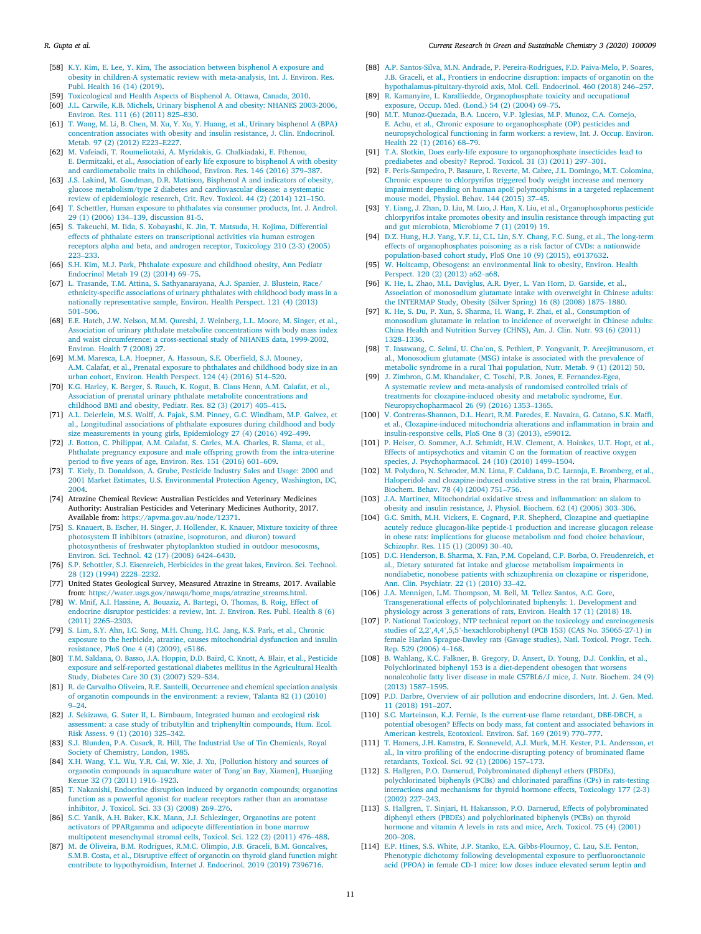- [58] K.Y. Kim, E. Lee, Y. Kim, The association between bisphenol A exposure and obesity in children-A systematic review with meta-analysis, Int. J. Environ. Res. Publ. Health 16 (14) (2019).
- Toxicological and Health Aspects of Bisphenol A. Ottawa, Canada, 2010.
- [60] J.L. Carwile, K.B. Michels, Urinary bisphenol A and obesity: NHANES 2003-2006, Environ. Res. 111 (6) (2011) 825–830.
- [61] T. Wang, M. Li, B. Chen, M. Xu, Y. Xu, Y. Huang, et al., Urinary bisphenol A (BPA) concentration associates with obesity and insulin resistance, J. Clin. Endocrinol. Metab. 97 (2) (2012) E223–E227.
- [62] M. Vafeiadi, T. Roumeliotaki, A. Myridakis, G. Chalkiadaki, E. Fthenou, E. Dermitzaki, et al., Association of early life exposure to bisphenol A with obesity and cardiometabolic traits in childhood, Environ. Res. 146 (2016) 379–387.
- [63] J.S. Lakind, M. Goodman, D.R. Mattison, Bisphenol A and indicators of obesity, glucose metabolism/type 2 diabetes and cardiovascular disease: a systematic review of epidemiologic research, Crit. Rev. Toxicol. 44 (2) (2014) 121–150.
- [64] T. Schettler, Human exposure to phthalates via consumer products, Int. J. Androl. 29 (1) (2006) 134–139, discussion 81-5.
- [65] S. Takeuchi, M. Iida, S. Kobayashi, K. Jin, T. Matsuda, H. Kojima, Differential effects of phthalate esters on transcriptional activities via human estrogen receptors alpha and beta, and androgen receptor, Toxicology 210 (2-3) (2005) 223–233.
- [66] S.H. Kim, M.J. Park, Phthalate exposure and childhood obesity, Ann Pediatr Endocrinol Metab 19 (2) (2014) 69–75.
- [67] L. Trasande, T.M. Attina, S. Sathyanarayana, A.J. Spanier, J. Blustein, Race/ ethnicity-specific associations of urinary phthalates with childhood body mass in a nationally representative sample, Environ. Health Perspect. 121 (4) (2013) 501–506.
- [68] E.E. Hatch, J.W. Nelson, M.M. Qureshi, J. Weinberg, L.L. Moore, M. Singer, et al., Association of urinary phthalate metabolite concentrations with body mass index and waist circumference: a cross-sectional study of NHANES data, 1999-2002, Environ. Health 7 (2008) 27.
- [69] M.M. Maresca, L.A. Hoepner, A. Hassoun, S.E. Oberfield, S.J. Mooney, A.M. Calafat, et al., Prenatal exposure to phthalates and childhood body size in an urban cohort, Environ. Health Perspect. 124 (4) (2016) 514–520.
- [70] K.G. Harley, K. Berger, S. Rauch, K. Kogut, B. Claus Henn, A.M. Calafat, et al., Association of prenatal urinary phthalate metabolite concentrations and childhood BMI and obesity, Pediatr. Res. 82 (3) (2017) 405–415.
- [71] A.L. Deierlein, M.S. Wolff, A. Pajak, S.M. Pinney, G.C. Windham, M.P. Galvez, et al., Longitudinal associations of phthalate exposures during childhood and body size measurements in young girls, Epidemiology 27 (4) (2016) 492–499.
- [72] J. Botton, C. Philippat, A.M. Calafat, S. Carles, M.A. Charles, R. Slama, et al., Phthalate pregnancy exposure and male offspring growth from the intra-uterine period to five years of age, Environ. Res. 151 (2016) 601–609.
- [73] T. Kiely, D. Donaldson, A. Grube, Pesticide Industry Sales and Usage: 2000 and 2001 Market Estimates, U.S. Environmental Protection Agency, Washington, DC, 2004.
- [74] Atrazine Chemical Review: Australian Pesticides and Veterinary Medicines Authority: Australian Pesticides and Veterinary Medicines Authority, 2017. Available from: https://apvma.gov.au/node/12371.
- [75] S. Knauert, B. Escher, H. Singer, J. Hollender, K. Knauer, Mixture toxicity of three photosystem II inhibitors (atrazine, isoproturon, and diuron) toward photosynthesis of freshwater phytoplankton studied in outdoor mesocosms, Environ. Sci. Technol. 42 (17) (2008) 6424–6430.
- [76] S.P. Schottler, S.J. Eisenreich, Herbicides in the great lakes, Environ. Sci. Technol. 28 (12) (1994) 2228–2232.
- [77] United States Geological Survey, Measured Atrazine in Streams, 2017. Available from: https://water.usgs.gov/nawqa/home\_maps/atrazine\_streams.html.
- [78] W. Mnif, A.I. Hassine, A. Bouaziz, A. Bartegi, O. Thomas, B. Roig, Effect of endocrine disruptor pesticides: a review, Int. J. Environ. Res. Publ. Health 8 (6) (2011) 2265–2303.
- [79] S. Lim, S.Y. Ahn, I.C. Song, M.H. Chung, H.C. Jang, K.S. Park, et al., Chronic exposure to the herbicide, atrazine, causes mitochondrial dysfunction and insulin resistance, PloS One 4 (4) (2009), e5186.
- [80] T.M. Saldana, O. Basso, J.A. Hoppin, D.D. Baird, C. Knott, A. Blair, et al., Pesticide exposure and self-reported gestational diabetes mellitus in the Agricultural Health Study, Diabetes Care 30 (3) (2007) 529–534.
- [81] R. de Carvalho Oliveira, R.E. Santelli, Occurrence and chemical speciation analysis of organotin compounds in the environment: a review, Talanta 82 (1) (2010) 9–24.
- [82] J. Sekizawa, G. Suter II, L. Birnbaum, Integrated human and ecological risk assessment: a case study of tributyltin and triphenyltin compounds, Hum. Ecol. Risk Assess. 9 (1) (2010) 325–342.
- [83] S.J. Blunden, P.A. Cusack, R. Hill, The Industrial Use of Tin Chemicals, Royal Society of Chemistry, London, 1985.
- [84] X.H. Wang, Y.L. Wu, Y.R. Cai, W. Xie, J. Xu, [Pollution history and sources of organotin compounds in aquaculture water of Tong'an Bay, Xiamen], Huanjing Kexue 32 (7) (2011) 1916–1923.
- [85] T. Nakanishi, Endocrine disruption induced by organotin compounds; organotins function as a powerful agonist for nuclear receptors rather than an aromatase inhibitor, J. Toxicol. Sci. 33 (3) (2008) 269–276.
- [86] S.C. Yanik, A.H. Baker, K.K. Mann, J.J. Schlezinger, Organotins are potent activators of PPARgamma and adipocyte differentiation in bone marrow multipotent mesenchymal stromal cells, Toxicol. Sci. 122 (2) (2011) 476–488.
- [87] M. de Oliveira, B.M. Rodrigues, R.M.C. Olimpio, J.B. Graceli, B.M. Goncalves, S.M.B. Costa, et al., Disruptive effect of organotin on thyroid gland function might contribute to hypothyroidism, Internet J. Endocrinol. 2019 (2019) 7396716.
- [88] A.P. Santos-Silva, M.N. Andrade, P. Pereira-Rodrigues, F.D. Paiva-Melo, P. Soares, J.B. Graceli, et al., Frontiers in endocrine disruption: impacts of organotin on the hypothalamus-pituitary-thyroid axis, Mol. Cell. Endocrinol. 460 (2018) 246–257.
- [89] R. Kamanyire, L. Karalliedde, Organophosphate toxicity and occupational exposure, Occup. Med. (Lond.) 54 (2) (2004) 69–75.
- [90] M.T. Munoz-Quezada, B.A. Lucero, V.P. Iglesias, M.P. Munoz, C.A. Cornejo, E. Achu, et al., Chronic exposure to organophosphate (OP) pesticides and neuropsychological functioning in farm workers: a review, Int. J. Occup. Environ. Health 22 (1) (2016) 68–79.
- [91] T.A. Slotkin, Does early-life exposure to organophosphate insecticides lead to prediabetes and obesity? Reprod. Toxicol. 31 (3) (2011) 297–301.
- [92] F. Peris-Sampedro, P. Basaure, I. Reverte, M. Cabre, J.L. Domingo, M.T. Colomina, Chronic exposure to chlorpyrifos triggered body weight increase and memory impairment depending on human apoE polymorphisms in a targeted replacement mouse model, Physiol. Behav. 144 (2015) 37–45.
- [93] Y. Liang, J. Zhan, D. Liu, M. Luo, J. Han, X. Liu, et al., Organophosphorus pesticide chlorpyrifos intake promotes obesity and insulin resistance through impacting gut and gut microbiota, Microbiome 7 (1) (2019) 19.
- [94] D.Z. Hung, H.J. Yang, Y.F. Li, C.L. Lin, S.Y. Chang, F.C. Sung, et al., The long-term effects of organophosphates poisoning as a risk factor of CVDs: a nationwide population-based cohort study, PloS One 10 (9) (2015), e0137632.
- [95] W. Holtcamp, Obesogens: an environmental link to obesity, Environ. Health Perspect. 120 (2) (2012) a62–a68.
- [96] K. He, L. Zhao, M.L. Daviglus, A.R. Dyer, L. Van Horn, D. Garside, et al., Association of monosodium glutamate intake with overweight in Chinese adults: the INTERMAP Study, Obesity (Silver Spring) 16 (8) (2008) 1875–1880.
- [97] K. He, S. Du, P. Xun, S. Sharma, H. Wang, F. Zhai, et al., Consumption of monosodium glutamate in relation to incidence of overweight in Chinese adults: China Health and Nutrition Survey (CHNS), Am. J. Clin. Nutr. 93 (6) (2011) 1328–1336.
- [98] T. Insawang, C. Selmi, U. Cha'on, S. Pethlert, P. Yongvanit, P. Areejitranusorn, et al., Monosodium glutamate (MSG) intake is associated with the prevalence of metabolic syndrome in a rural Thai population, Nutr. Metab. 9 (1) (2012) 50.
- [99] J. Zimbron, G.M. Khandaker, C. Toschi, P.B. Jones, E. Fernandez-Egea, A systematic review and meta-analysis of randomised controlled trials of treatments for clozapine-induced obesity and metabolic syndrome, Eur. Neuropsychopharmacol 26 (9) (2016) 1353–1365.
- [100] V. Contreras-Shannon, D.L. Heart, R.M. Paredes, E. Navaira, G. Catano, S.K. Maffi, et al., Clozapine-induced mitochondria alterations and inflammation in brain and insulin-responsive cells, PloS One 8 (3) (2013), e59012.
- [101] P. Heiser, O. Sommer, A.J. Schmidt, H.W. Clement, A. Hoinkes, U.T. Hopt, et al., Effects of antipsychotics and vitamin C on the formation of reactive oxygen species, J. Psychopharmacol. 24 (10) (2010) 1499–1504.
- [102] M. Polydoro, N. Schroder, M.N. Lima, F. Caldana, D.C. Laranja, E. Bromberg, et al., Haloperidol- and clozapine-induced oxidative stress in the rat brain, Pharmacol. Biochem. Behav. 78 (4) (2004) 751–756.
- [103] J.A. Martinez, Mitochondrial oxidative stress and inflammation: an slalom to obesity and insulin resistance, J. Physiol. Biochem. 62 (4) (2006) 303–306.
- [104] G.C. Smith, M.H. Vickers, E. Cognard, P.R. Shepherd, Clozapine and quetiapine acutely reduce glucagon-like peptide-1 production and increase glucagon release in obese rats: implications for glucose metabolism and food choice behaviour, Schizophr. Res. 115 (1) (2009) 30–40.
- [105] D.C. Henderson, B. Sharma, X. Fan, P.M. Copeland, C.P. Borba, O. Freudenreich, et al., Dietary saturated fat intake and glucose metabolism impairments in nondiabetic, nonobese patients with schizophrenia on clozapine or risperidone, Ann. Clin. Psychiatr. 22 (1) (2010) 33–42.
- [106] J.A. Mennigen, L.M. Thompson, M. Bell, M. Tellez Santos, A.C. Gore, Transgenerational effects of polychlorinated biphenyls: 1. Development and physiology across 3 generations of rats, Environ. Health 17 (1) (2018) 18.
- [107] P. National Toxicology, NTP technical report on the toxicology and carcinogenesis studies of 2,2',4,4',5,5'-hexachlorobiphenyl (PCB 153) (CAS No. 35065-27-1) in female Harlan Sprague-Dawley rats (Gavage studies), Natl. Toxicol. Progr. Tech. Rep. 529 (2006) 4–168.
- [108] B. Wahlang, K.C. Falkner, B. Gregory, D. Ansert, D. Young, D.J. Conklin, et al., Polychlorinated biphenyl 153 is a diet-dependent obesogen that worsens nonalcoholic fatty liver disease in male C57BL6/J mice, J. Nutr. Biochem. 24 (9) (2013) 1587–1595.
- [109] P.D. Darbre, Overview of air pollution and endocrine disorders, Int. J. Gen. Med. 11 (2018) 191–207.
- [110] S.C. Marteinson, K.J. Fernie, Is the current-use flame retardant, DBE-DBCH, a potential obesogen? Effects on body mass, fat content and associated behaviors in American kestrels, Ecotoxicol. Environ. Saf. 169 (2019) 770–777.
- [111] T. Hamers, J.H. Kamstra, E. Sonneveld, A.J. Murk, M.H. Kester, P.L. Andersson, et al., In vitro profiling of the endocrine-disrupting potency of brominated flame retardants, Toxicol. Sci. 92 (1) (2006) 157–173.
- [112] S. Hallgren, P.O. Darnerud, Polybrominated diphenyl ethers (PBDEs), polychlorinated biphenyls (PCBs) and chlorinated paraffins (CPs) in rats-testing interactions and mechanisms for thyroid hormone effects, Toxicology 177 (2-3) (2002) 227–243.
- [113] S. Hallgren, T. Sinjari, H. Hakansson, P.O. Darnerud, Effects of polybrominated diphenyl ethers (PBDEs) and polychlorinated biphenyls (PCBs) on thyroid hormone and vitamin A levels in rats and mice, Arch. Toxicol. 75 (4) (2001) 200–208.
- [114] E.P. Hines, S.S. White, J.P. Stanko, E.A. Gibbs-Flournoy, C. Lau, S.E. Fenton, Phenotypic dichotomy following developmental exposure to perfluorooctanoic acid (PFOA) in female CD-1 mice: low doses induce elevated serum leptin and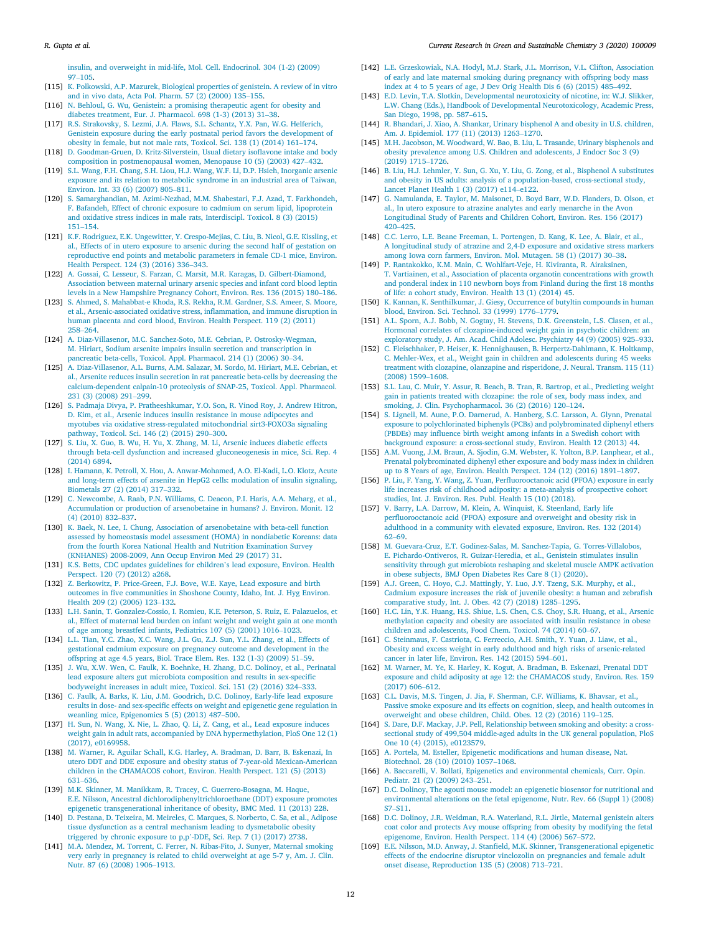insulin, and overweight in mid-life, Mol. Cell. Endocrinol. 304 (1-2) (2009) 97–105.

- [115] K. Polkowski, A.P. Mazurek, Biological properties of genistein. A review of in vitro and in vivo data, Acta Pol. Pharm. 57 (2) (2000) 135–155.
- [116] N. Behloul, G. Wu, Genistein: a promising therapeutic agent for obesity and diabetes treatment, Eur. J. Pharmacol. 698 (1-3) (2013) 31–38.
- R.S. Strakovsky, S. Lezmi, J.A. Flaws, S.L. Schantz, Y.X. Pan, W.G. Helferich, Genistein exposure during the early postnatal period favors the development of obesity in female, but not male rats, Toxicol. Sci. 138 (1) (2014) 161–174.
- [118] D. Goodman-Gruen, D. Kritz-Silverstein, Usual dietary isoflavone intake and body composition in postmenopausal women, Menopause 10 (5) (2003) 427–432.
- [119] S.L. Wang, F.H. Chang, S.H. Liou, H.J. Wang, W.F. Li, D.P. Hsieh, Inorganic arsenic exposure and its relation to metabolic syndrome in an industrial area of Taiwan, Environ. Int. 33 (6) (2007) 805–811.
- [120] S. Samarghandian, M. Azimi-Nezhad, M.M. Shabestari, F.J. Azad, T. Farkhondeh, F. Bafandeh, Effect of chronic exposure to cadmium on serum lipid, lipoprotein and oxidative stress indices in male rats, Interdiscipl. Toxicol. 8 (3) (2015) 151–154.
- [121] K.F. Rodriguez, E.K. Ungewitter, Y. Crespo-Mejias, C. Liu, B. Nicol, G.E. Kissling, et al., Effects of in utero exposure to arsenic during the second half of gestation on reproductive end points and metabolic parameters in female CD-1 mice, Environ. Health Perspect. 124 (3) (2016) 336–343.
- [122] A. Gossai, C. Lesseur, S. Farzan, C. Marsit, M.R. Karagas, D. Gilbert-Diamond, Association between maternal urinary arsenic species and infant cord blood leptin levels in a New Hampshire Pregnancy Cohort, Environ. Res. 136 (2015) 180–186.
- [123] S. Ahmed, S. Mahabbat-e Khoda, R.S. Rekha, R.M. Gardner, S.S. Ameer, S. Moore, et al., Arsenic-associated oxidative stress, inflammation, and immune disruption in human placenta and cord blood, Environ. Health Perspect. 119 (2) (2011) 258–264.
- [124] A. Diaz-Villasenor, M.C. Sanchez-Soto, M.E. Cebrian, P. Ostrosky-Wegman, M. Hiriart, Sodium arsenite impairs insulin secretion and transcription in pancreatic beta-cells, Toxicol. Appl. Pharmacol. 214 (1) (2006) 30–34.
- [125] A. Diaz-Villasenor, A.L. Burns, A.M. Salazar, M. Sordo, M. Hiriart, M.E. Cebrian, et al., Arsenite reduces insulin secretion in rat pancreatic beta-cells by decreasing the calcium-dependent calpain-10 proteolysis of SNAP-25, Toxicol. Appl. Pharmacol. 231 (3) (2008) 291–299.
- [126] S. Padmaja Divya, P. Pratheeshkumar, Y.O. Son, R. Vinod Roy, J. Andrew Hitron, D. Kim, et al., Arsenic induces insulin resistance in mouse adipocytes and myotubes via oxidative stress-regulated mitochondrial sirt3-FOXO3a signaling pathway, Toxicol. Sci. 146 (2) (2015) 290–300.
- [127] S. Liu, X. Guo, B. Wu, H. Yu, X. Zhang, M. Li, Arsenic induces diabetic effects through beta-cell dysfunction and increased gluconeogenesis in mice, Sci. Rep. 4 (2014) 6894.
- [128] I. Hamann, K. Petroll, X. Hou, A. Anwar-Mohamed, A.O. El-Kadi, L.O. Klotz, Acute and long-term effects of arsenite in HepG2 cells: modulation of insulin signaling, Biometals 27 (2) (2014) 317–332.
- [129] C. Newcombe, A. Raab, P.N. Williams, C. Deacon, P.I. Haris, A.A. Meharg, et al., Accumulation or production of arsenobetaine in humans? J. Environ. Monit. 12 (4) (2010) 832–837.
- [130] K. Baek, N. Lee, I. Chung, Association of arsenobetaine with beta-cell function assessed by homeostasis model assessment (HOMA) in nondiabetic Koreans: data from the fourth Korea National Health and Nutrition Examination Survey (KNHANES) 2008-2009, Ann Occup Environ Med 29 (2017) 31.
- [131] K.S. Betts, CDC updates guidelines for children's lead exposure, Environ. Health Perspect. 120 (7) (2012) a268.
- [132] Z. Berkowitz, P. Price-Green, F.J. Bove, W.E. Kaye, Lead exposure and birth outcomes in five communities in Shoshone County, Idaho, Int. J. Hyg Environ. Health 209 (2) (2006) 123–132.
- [133] L.H. Sanin, T. Gonzalez-Cossio, I. Romieu, K.E. Peterson, S. Ruiz, E. Palazuelos, et al., Effect of maternal lead burden on infant weight and weight gain at one month of age among breastfed infants, Pediatrics 107 (5) (2001) 1016–1023.
- [134] L.L. Tian, Y.C. Zhao, X.C. Wang, J.L. Gu, Z.J. Sun, Y.L. Zhang, et al., Effects of gestational cadmium exposure on pregnancy outcome and development in the offspring at age 4.5 years, Biol. Trace Elem. Res. 132 (1-3) (2009) 51–59.
- [135] J. Wu, X.W. Wen, C. Faulk, K. Boehnke, H. Zhang, D.C. Dolinoy, et al., Perinatal lead exposure alters gut microbiota composition and results in sex-specific bodyweight increases in adult mice, Toxicol. Sci. 151 (2) (2016) 324–333.
- [136] C. Faulk, A. Barks, K. Liu, J.M. Goodrich, D.C. Dolinoy, Early-life lead exposure results in dose- and sex-specific effects on weight and epigenetic gene regulation in weanling mice, Epigenomics 5 (5) (2013) 487–500.
- [137] H. Sun, N. Wang, X. Nie, L. Zhao, Q. Li, Z. Cang, et al., Lead exposure induces weight gain in adult rats, accompanied by DNA hypermethylation, PloS One 12 (1) (2017), e0169958.
- [138] M. Warner, R. Aguilar Schall, K.G. Harley, A. Bradman, D. Barr, B. Eskenazi, In utero DDT and DDE exposure and obesity status of 7-year-old Mexican-American children in the CHAMACOS cohort, Environ. Health Perspect. 121 (5) (2013) 631–636.
- [139] M.K. Skinner, M. Manikkam, R. Tracey, C. Guerrero-Bosagna, M. Haque, E.E. Nilsson, Ancestral dichlorodiphenyltrichloroethane (DDT) exposure promotes epigenetic transgenerational inheritance of obesity, BMC Med. 11 (2013) 228.
- [140] D. Pestana, D. Teixeira, M. Meireles, C. Marques, S. Norberto, C. Sa, et al., Adipose tissue dysfunction as a central mechanism leading to dysmetabolic obesity triggered by chronic exposure to p,p'-DDE, Sci. Rep. 7 (1) (2017) 2738.
- [141] M.A. Mendez, M. Torrent, C. Ferrer, N. Ribas-Fito, J. Sunyer, Maternal smoking very early in pregnancy is related to child overweight at age 5-7 y, Am. J. Clin. Nutr. 87 (6) (2008) 1906–1913.
- [142] L.E. Grzeskowiak, N.A. Hodyl, M.J. Stark, J.L. Morrison, V.L. Clifton, Association of early and late maternal smoking during pregnancy with offspring body mass index at 4 to 5 years of age, J Dev Orig Health Dis 6 (6) (2015) 485–492.
- [143] E.D. Levin, T.A. Slotkin, Developmental neurotoxicity of nicotine, in: W.J. Slikker, L.W. Chang (Eds.), Handbook of Developmental Neurotoxicology, Academic Press, San Diego, 1998, pp. 587–615.
- [144] R. Bhandari, J. Xiao, A. Shankar, Urinary bisphenol A and obesity in U.S. children, Am. J. Epidemiol. 177 (11) (2013) 1263–1270.
- [145] M.H. Jacobson, M. Woodward, W. Bao, B. Liu, L. Trasande, Urinary bisphenols and obesity prevalence among U.S. Children and adolescents, J Endocr Soc 3 (9) (2019) 1715–1726.
- [146] B. Liu, H.J. Lehmler, Y. Sun, G. Xu, Y. Liu, G. Zong, et al., Bisphenol A substitutes and obesity in US adults: analysis of a population-based, cross-sectional study, Lancet Planet Health 1 (3) (2017) e114–e122.
- [147] G. Namulanda, E. Taylor, M. Maisonet, D. Boyd Barr, W.D. Flanders, D. Olson, et al., In utero exposure to atrazine analytes and early menarche in the Avon Longitudinal Study of Parents and Children Cohort, Environ. Res. 156 (2017) 420–425.
- [148] C.C. Lerro, L.E. Beane Freeman, L. Portengen, D. Kang, K. Lee, A. Blair, et al., A longitudinal study of atrazine and 2,4-D exposure and oxidative stress markers among Iowa corn farmers, Environ. Mol. Mutagen. 58 (1) (2017) 30–38.
- [149] P. Rantakokko, K.M. Main, C. Wohlfart-Veje, H. Kiviranta, R. Airaksinen, T. Vartiainen, et al., Association of placenta organotin concentrations with growth and ponderal index in 110 newborn boys from Finland during the first 18 months of life: a cohort study, Environ. Health 13 (1) (2014) 45.
- [150] K. Kannan, K. Senthilkumar, J. Giesy, Occurrence of butyltin compounds in human blood, Environ. Sci. Technol. 33 (1999) 1776–1779.
- [151] A.L. Sporn, A.J. Bobb, N. Gogtay, H. Stevens, D.K. Greenstein, L.S. Clasen, et al., Hormonal correlates of clozapine-induced weight gain in psychotic children: an exploratory study, J. Am. Acad. Child Adolesc. Psychiatry 44 (9) (2005) 925–933.
- [152] C. Fleischhaker, P. Heiser, K. Hennighausen, B. Herpertz-Dahlmann, K. Holtkamp, C. Mehler-Wex, et al., Weight gain in children and adolescents during 45 weeks treatment with clozapine, olanzapine and risperidone, J. Neural. Transm. 115 (11) (2008) 1599–1608.
- [153] S.L. Lau, C. Muir, Y. Assur, R. Beach, B. Tran, R. Bartrop, et al., Predicting weight gain in patients treated with clozapine: the role of sex, body mass index, and smoking, J. Clin. Psychopharmacol. 36 (2) (2016) 120–124.
- [154] S. Lignell, M. Aune, P.O. Darnerud, A. Hanberg, S.C. Larsson, A. Glynn, Prenatal exposure to polychlorinated biphenyls (PCBs) and polybrominated diphenyl ethers (PBDEs) may influence birth weight among infants in a Swedish cohort with background exposure: a cross-sectional study, Environ. Health 12 (2013) 44.
- [155] A.M. Vuong, J.M. Braun, A. Sjodin, G.M. Webster, K. Yolton, B.P. Lanphear, et al., Prenatal polybrominated diphenyl ether exposure and body mass index in children up to 8 Years of age, Environ. Health Perspect. 124 (12) (2016) 1891–1897.
- [156] P. Liu, F. Yang, Y. Wang, Z. Yuan, Perfluorooctanoic acid (PFOA) exposure in early life increases risk of childhood adiposity: a meta-analysis of prospective cohort studies, Int. J. Environ. Res. Publ. Health 15 (10) (2018).
- [157] V. Barry, L.A. Darrow, M. Klein, A. Winquist, K. Steenland, Early life perfluorooctanoic acid (PFOA) exposure and overweight and obesity risk in adulthood in a community with elevated exposure, Environ. Res. 132 (2014) 62–69.
- [158] M. Guevara-Cruz, E.T. Godinez-Salas, M. Sanchez-Tapia, G. Torres-Villalobos, E. Pichardo-Ontiveros, R. Guizar-Heredia, et al., Genistein stimulates insulin sensitivity through gut microbiota reshaping and skeletal muscle AMPK activation in obese subjects, BMJ Open Diabetes Res Care 8 (1) (2020).
- [159] A.J. Green, C. Hoyo, C.J. Mattingly, Y. Luo, J.Y. Tzeng, S.K. Murphy, et al., Cadmium exposure increases the risk of juvenile obesity: a human and zebrafish comparative study, Int. J. Obes. 42 (7) (2018) 1285–1295.
- [160] H.C. Lin, Y.K. Huang, H.S. Shiue, L.S. Chen, C.S. Choy, S.R. Huang, et al., Arsenic methylation capacity and obesity are associated with insulin resistance in obese children and adolescents, Food Chem. Toxicol. 74 (2014) 60–67.
- [161] C. Steinmaus, F. Castriota, C. Ferreccio, A.H. Smith, Y. Yuan, J. Liaw, et al., Obesity and excess weight in early adulthood and high risks of arsenic-related cancer in later life, Environ. Res. 142 (2015) 594–601.
- [162] M. Warner, M. Ye, K. Harley, K. Kogut, A. Bradman, B. Eskenazi, Prenatal DDT exposure and child adiposity at age 12: the CHAMACOS study, Environ. Res. 159 (2017) 606–612.
- [163] C.L. Davis, M.S. Tingen, J. Jia, F. Sherman, C.F. Williams, K. Bhavsar, et al., Passive smoke exposure and its effects on cognition, sleep, and health outcomes in overweight and obese children, Child. Obes. 12 (2) (2016) 119–125.
- [164] S. Dare, D.F. Mackay, J.P. Pell, Relationship between smoking and obesity: a crosssectional study of 499,504 middle-aged adults in the UK general population, PloS One 10 (4) (2015), e0123579.
- [165] A. Portela, M. Esteller, Epigenetic modifications and human disease, Nat. Biotechnol. 28 (10) (2010) 1057–1068.
- [166] A. Baccarelli, V. Bollati, Epigenetics and environmental chemicals, Curr. Opin. Pediatr. 21 (2) (2009) 243–251.
- [167] D.C. Dolinoy, The agouti mouse model: an epigenetic biosensor for nutritional and environmental alterations on the fetal epigenome, Nutr. Rev. 66 (Suppl 1) (2008) S7–S11.
- [168] D.C. Dolinoy, J.R. Weidman, R.A. Waterland, R.L. Jirtle, Maternal genistein alters coat color and protects Avy mouse offspring from obesity by modifying the fetal epigenome, Environ. Health Perspect. 114 (4) (2006) 567–572.
- [169] E.E. Nilsson, M.D. Anway, J. Stanfield, M.K. Skinner, Transgenerational epigenetic effects of the endocrine disruptor vinclozolin on pregnancies and female adult onset disease, Reproduction 135 (5) (2008) 713–721.